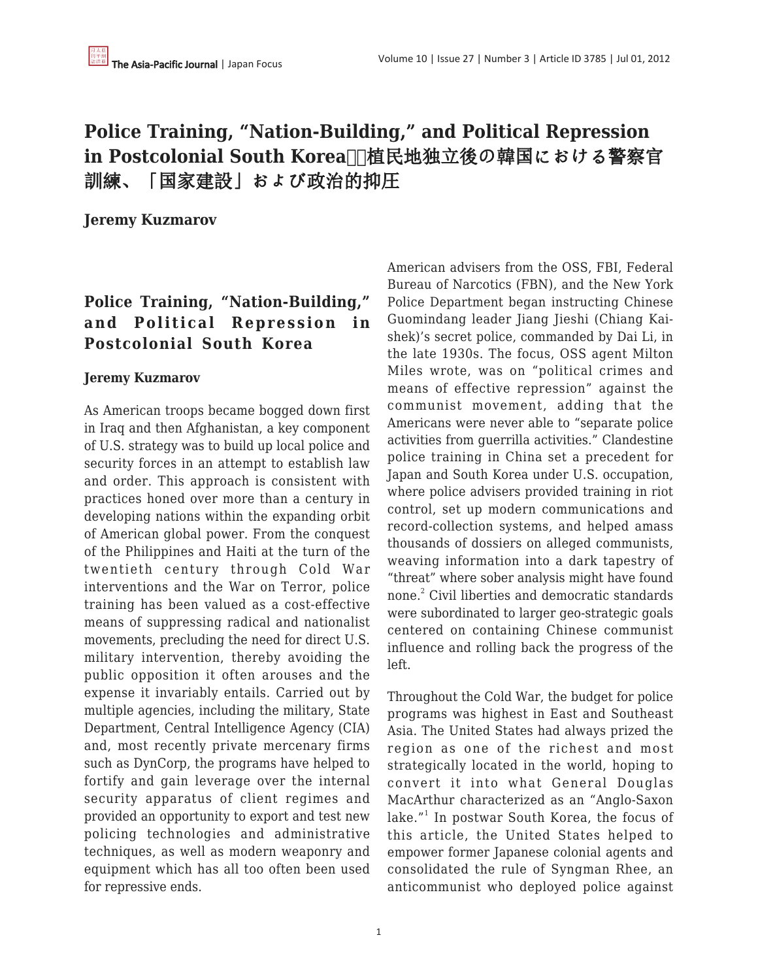# **Police Training, "Nation-Building," and Political Repression** in Postcolonial South Korea**□ 植民地独立後の韓国における警察**官 訓練、「国家建設」および政治的抑圧

**Jeremy Kuzmarov**

## **Police Training, "Nation-Building," and Political Repression in Postcolonial South Korea**

#### **Jeremy Kuzmarov**

As American troops became bogged down first in Iraq and then Afghanistan, a key component of U.S. strategy was to build up local police and security forces in an attempt to establish law and order. This approach is consistent with practices honed over more than a century in developing nations within the expanding orbit of American global power. From the conquest of the Philippines and Haiti at the turn of the twentieth century through Cold War interventions and the War on Terror, police training has been valued as a cost-effective means of suppressing radical and nationalist movements, precluding the need for direct U.S. military intervention, thereby avoiding the public opposition it often arouses and the expense it invariably entails. Carried out by multiple agencies, including the military, State Department, Central Intelligence Agency (CIA) and, most recently private mercenary firms such as DynCorp, the programs have helped to fortify and gain leverage over the internal security apparatus of client regimes and provided an opportunity to export and test new policing technologies and administrative techniques, as well as modern weaponry and equipment which has all too often been used for repressive ends.

American advisers from the OSS, FBI, Federal Bureau of Narcotics (FBN), and the New York Police Department began instructing Chinese Guomindang leader Jiang Jieshi (Chiang Kaishek)'s secret police, commanded by Dai Li, in the late 1930s. The focus, OSS agent Milton Miles wrote, was on "political crimes and means of effective repression" against the communist movement, adding that the Americans were never able to "separate police activities from guerrilla activities." Clandestine police training in China set a precedent for Japan and South Korea under U.S. occupation, where police advisers provided training in riot control, set up modern communications and record-collection systems, and helped amass thousands of dossiers on alleged communists, weaving information into a dark tapestry of "threat" where sober analysis might have found none.<sup>2</sup> Civil liberties and democratic standards were subordinated to larger geo-strategic goals centered on containing Chinese communist influence and rolling back the progress of the left.

Throughout the Cold War, the budget for police programs was highest in East and Southeast Asia. The United States had always prized the region as one of the richest and most strategically located in the world, hoping to convert it into what General Douglas MacArthur characterized as an "Anglo-Saxon lake."<sup>1</sup> In postwar South Korea, the focus of this article, the United States helped to empower former Japanese colonial agents and consolidated the rule of Syngman Rhee, an anticommunist who deployed police against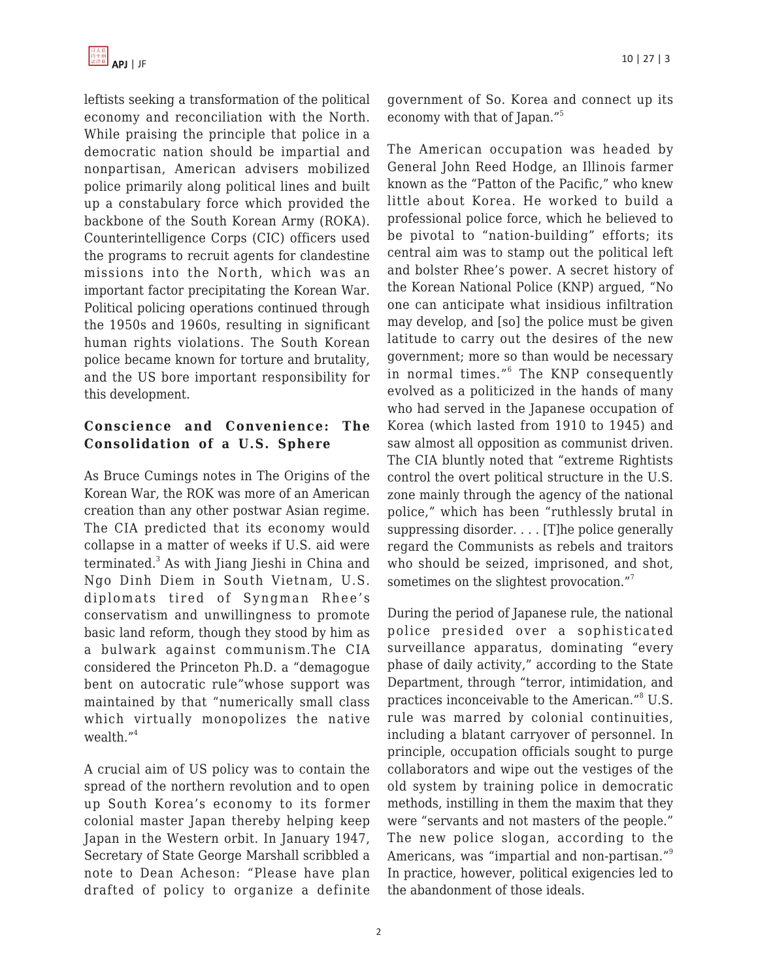leftists seeking a transformation of the political economy and reconciliation with the North. While praising the principle that police in a democratic nation should be impartial and nonpartisan, American advisers mobilized police primarily along political lines and built up a constabulary force which provided the backbone of the South Korean Army (ROKA). Counterintelligence Corps (CIC) officers used the programs to recruit agents for clandestine missions into the North, which was an important factor precipitating the Korean War. Political policing operations continued through the 1950s and 1960s, resulting in significant human rights violations. The South Korean police became known for torture and brutality, and the US bore important responsibility for this development.

## **Conscience and Convenience: The Consolidation of a U.S. Sphere**

As Bruce Cumings notes in The Origins of the Korean War, the ROK was more of an American creation than any other postwar Asian regime. The CIA predicted that its economy would collapse in a matter of weeks if U.S. aid were terminated.<sup>3</sup> As with Jiang Jieshi in China and Ngo Dinh Diem in South Vietnam, U.S. diplomats tired of Syngman Rhee's conservatism and unwillingness to promote basic land reform, though they stood by him as a bulwark against communism.The CIA considered the Princeton Ph.D. a "demagogue bent on autocratic rule"whose support was maintained by that "numerically small class which virtually monopolizes the native wealth."<sup>4</sup>

A crucial aim of US policy was to contain the spread of the northern revolution and to open up South Korea's economy to its former colonial master Japan thereby helping keep Japan in the Western orbit. In January 1947, Secretary of State George Marshall scribbled a note to Dean Acheson: "Please have plan drafted of policy to organize a definite government of So. Korea and connect up its economy with that of Japan."<sup>5</sup>

The American occupation was headed by General John Reed Hodge, an Illinois farmer known as the "Patton of the Pacific," who knew little about Korea. He worked to build a professional police force, which he believed to be pivotal to "nation-building" efforts; its central aim was to stamp out the political left and bolster Rhee's power. A secret history of the Korean National Police (KNP) argued, "No one can anticipate what insidious infiltration may develop, and [so] the police must be given latitude to carry out the desires of the new government; more so than would be necessary in normal times."<sup>6</sup> The KNP consequently evolved as a politicized in the hands of many who had served in the Japanese occupation of Korea (which lasted from 1910 to 1945) and saw almost all opposition as communist driven. The CIA bluntly noted that "extreme Rightists control the overt political structure in the U.S. zone mainly through the agency of the national police," which has been "ruthlessly brutal in suppressing disorder. . . . [T]he police generally regard the Communists as rebels and traitors who should be seized, imprisoned, and shot, sometimes on the slightest provocation."<sup>7</sup>

During the period of Japanese rule, the national police presided over a sophisticated surveillance apparatus, dominating "every phase of daily activity," according to the State Department, through "terror, intimidation, and practices inconceivable to the American."<sup>8</sup> U.S. rule was marred by colonial continuities, including a blatant carryover of personnel. In principle, occupation officials sought to purge collaborators and wipe out the vestiges of the old system by training police in democratic methods, instilling in them the maxim that they were "servants and not masters of the people." The new police slogan, according to the Americans, was "impartial and non-partisan."<sup>9</sup> In practice, however, political exigencies led to the abandonment of those ideals.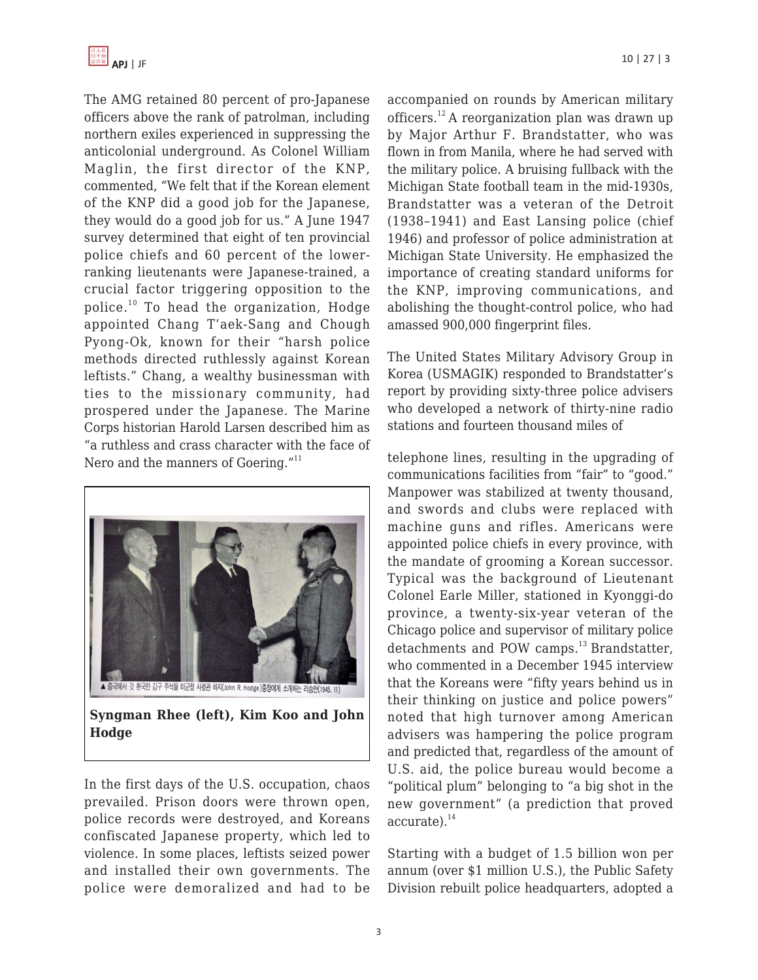The AMG retained 80 percent of pro-Japanese officers above the rank of patrolman, including northern exiles experienced in suppressing the anticolonial underground. As Colonel William Maglin, the first director of the KNP, commented, "We felt that if the Korean element of the KNP did a good job for the Japanese, they would do a good job for us." A June 1947 survey determined that eight of ten provincial police chiefs and 60 percent of the lowerranking lieutenants were Japanese-trained, a crucial factor triggering opposition to the police. $10$  To head the organization, Hodge appointed Chang T'aek-Sang and Chough Pyong-Ok, known for their "harsh police methods directed ruthlessly against Korean leftists." Chang, a wealthy businessman with ties to the missionary community, had prospered under the Japanese. The Marine Corps historian Harold Larsen described him as "a ruthless and crass character with the face of Nero and the manners of Goering."<sup>11</sup>



**Syngman Rhee (left), Kim Koo and John Hodge**

In the first days of the U.S. occupation, chaos prevailed. Prison doors were thrown open, police records were destroyed, and Koreans confiscated Japanese property, which led to violence. In some places, leftists seized power and installed their own governments. The police were demoralized and had to be accompanied on rounds by American military officers.<sup>12</sup> A reorganization plan was drawn up by Major Arthur F. Brandstatter, who was flown in from Manila, where he had served with the military police. A bruising fullback with the Michigan State football team in the mid-1930s, Brandstatter was a veteran of the Detroit (1938–1941) and East Lansing police (chief 1946) and professor of police administration at Michigan State University. He emphasized the importance of creating standard uniforms for the KNP, improving communications, and abolishing the thought-control police, who had amassed 900,000 fingerprint files.

The United States Military Advisory Group in Korea (USMAGIK) responded to Brandstatter's report by providing sixty-three police advisers who developed a network of thirty-nine radio stations and fourteen thousand miles of

telephone lines, resulting in the upgrading of communications facilities from "fair" to "good." Manpower was stabilized at twenty thousand, and swords and clubs were replaced with machine guns and rifles. Americans were appointed police chiefs in every province, with the mandate of grooming a Korean successor. Typical was the background of Lieutenant Colonel Earle Miller, stationed in Kyonggi-do province, a twenty-six-year veteran of the Chicago police and supervisor of military police detachments and POW camps. $^{13}$  Brandstatter, who commented in a December 1945 interview that the Koreans were "fifty years behind us in their thinking on justice and police powers" noted that high turnover among American advisers was hampering the police program and predicted that, regardless of the amount of U.S. aid, the police bureau would become a "political plum" belonging to "a big shot in the new government" (a prediction that proved accurate).<sup>14</sup>

Starting with a budget of 1.5 billion won per annum (over \$1 million U.S.), the Public Safety Division rebuilt police headquarters, adopted a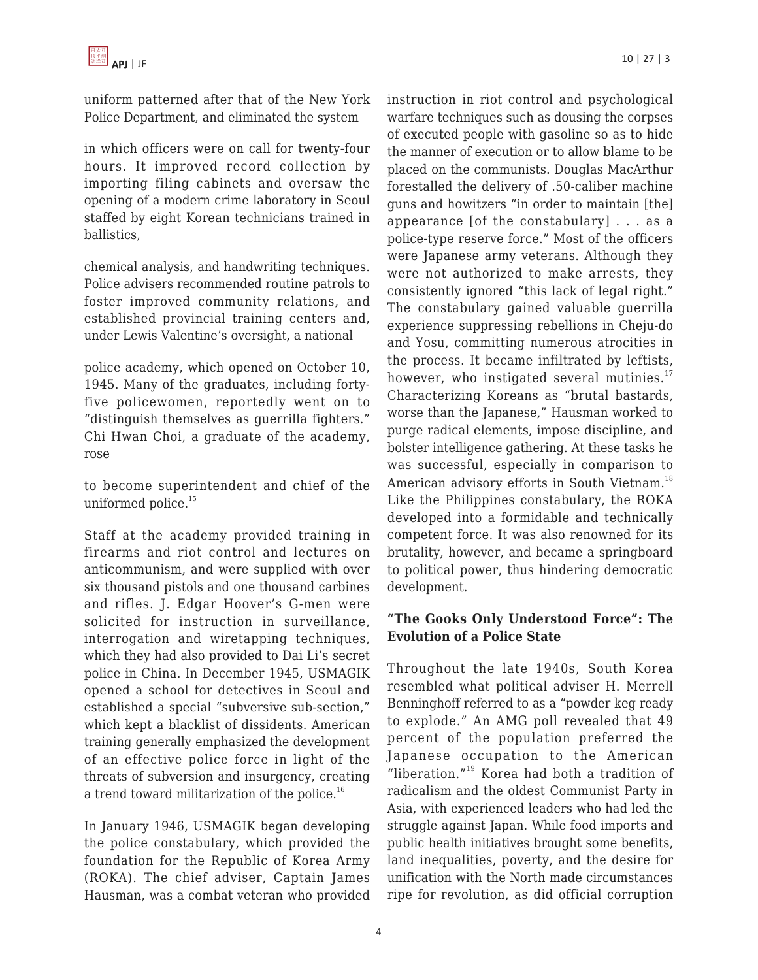uniform patterned after that of the New York Police Department, and eliminated the system

in which officers were on call for twenty-four hours. It improved record collection by importing filing cabinets and oversaw the opening of a modern crime laboratory in Seoul staffed by eight Korean technicians trained in ballistics,

chemical analysis, and handwriting techniques. Police advisers recommended routine patrols to foster improved community relations, and established provincial training centers and, under Lewis Valentine's oversight, a national

police academy, which opened on October 10, 1945. Many of the graduates, including fortyfive policewomen, reportedly went on to "distinguish themselves as guerrilla fighters." Chi Hwan Choi, a graduate of the academy, rose

to become superintendent and chief of the uniformed police.<sup>15</sup>

Staff at the academy provided training in firearms and riot control and lectures on anticommunism, and were supplied with over six thousand pistols and one thousand carbines and rifles. J. Edgar Hoover's G-men were solicited for instruction in surveillance, interrogation and wiretapping techniques, which they had also provided to Dai Li's secret police in China. In December 1945, USMAGIK opened a school for detectives in Seoul and established a special "subversive sub-section," which kept a blacklist of dissidents. American training generally emphasized the development of an effective police force in light of the threats of subversion and insurgency, creating a trend toward militarization of the police.<sup>16</sup>

In January 1946, USMAGIK began developing the police constabulary, which provided the foundation for the Republic of Korea Army (ROKA). The chief adviser, Captain James Hausman, was a combat veteran who provided

instruction in riot control and psychological warfare techniques such as dousing the corpses of executed people with gasoline so as to hide the manner of execution or to allow blame to be placed on the communists. Douglas MacArthur forestalled the delivery of .50-caliber machine guns and howitzers "in order to maintain [the] appearance [of the constabulary] . . . as a police-type reserve force." Most of the officers were Japanese army veterans. Although they were not authorized to make arrests, they consistently ignored "this lack of legal right." The constabulary gained valuable guerrilla experience suppressing rebellions in Cheju-do and Yosu, committing numerous atrocities in the process. It became infiltrated by leftists, however, who instigated several mutinies. $17$ Characterizing Koreans as "brutal bastards, worse than the Japanese," Hausman worked to purge radical elements, impose discipline, and bolster intelligence gathering. At these tasks he was successful, especially in comparison to American advisory efforts in South Vietnam.<sup>18</sup> Like the Philippines constabulary, the ROKA developed into a formidable and technically competent force. It was also renowned for its brutality, however, and became a springboard to political power, thus hindering democratic development.

## **"The Gooks Only Understood Force": The Evolution of a Police State**

Throughout the late 1940s, South Korea resembled what political adviser H. Merrell Benninghoff referred to as a "powder keg ready to explode." An AMG poll revealed that 49 percent of the population preferred the Japanese occupation to the American "liberation."<sup>19</sup> Korea had both a tradition of radicalism and the oldest Communist Party in Asia, with experienced leaders who had led the struggle against Japan. While food imports and public health initiatives brought some benefits, land inequalities, poverty, and the desire for unification with the North made circumstances ripe for revolution, as did official corruption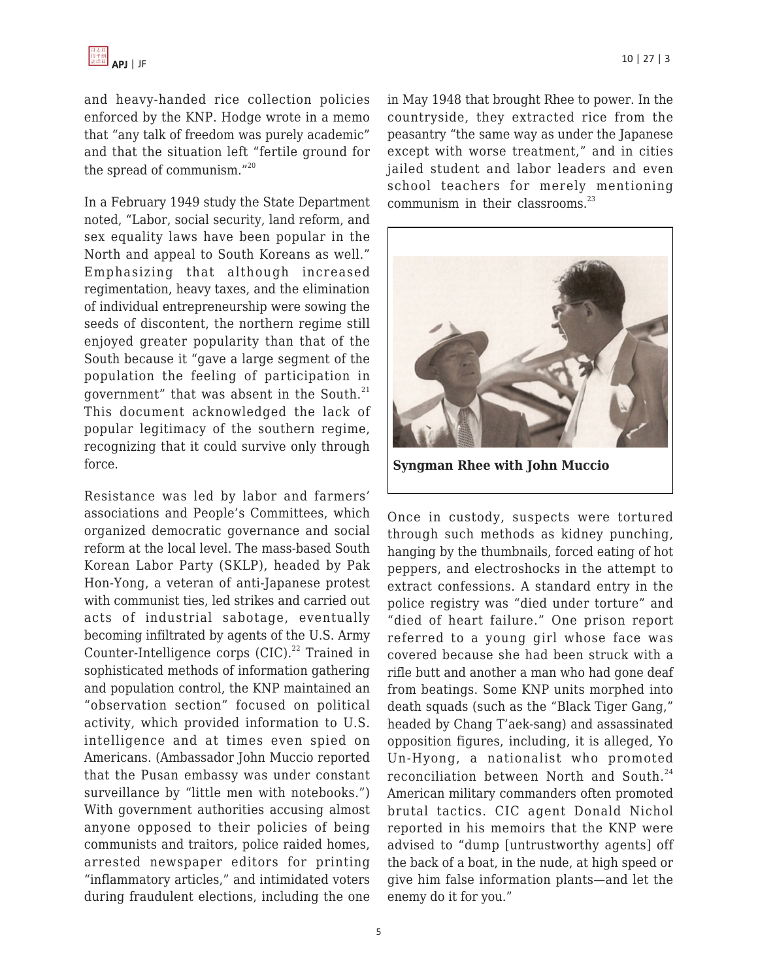and heavy-handed rice collection policies enforced by the KNP. Hodge wrote in a memo that "any talk of freedom was purely academic" and that the situation left "fertile ground for the spread of communism."<sup>20</sup>

In a February 1949 study the State Department noted, "Labor, social security, land reform, and sex equality laws have been popular in the North and appeal to South Koreans as well." Emphasizing that although increased regimentation, heavy taxes, and the elimination of individual entrepreneurship were sowing the seeds of discontent, the northern regime still enjoyed greater popularity than that of the South because it "gave a large segment of the population the feeling of participation in government" that was absent in the South. $^{21}$ This document acknowledged the lack of popular legitimacy of the southern regime, recognizing that it could survive only through force.

Resistance was led by labor and farmers' associations and People's Committees, which organized democratic governance and social reform at the local level. The mass-based South Korean Labor Party (SKLP), headed by Pak Hon-Yong, a veteran of anti-Japanese protest with communist ties, led strikes and carried out acts of industrial sabotage, eventually becoming infiltrated by agents of the U.S. Army Counter-Intelligence corps  $(CIC)^{22}$  Trained in sophisticated methods of information gathering and population control, the KNP maintained an "observation section" focused on political activity, which provided information to U.S. intelligence and at times even spied on Americans. (Ambassador John Muccio reported that the Pusan embassy was under constant surveillance by "little men with notebooks.") With government authorities accusing almost anyone opposed to their policies of being communists and traitors, police raided homes, arrested newspaper editors for printing "inflammatory articles," and intimidated voters during fraudulent elections, including the one in May 1948 that brought Rhee to power. In the countryside, they extracted rice from the peasantry "the same way as under the Japanese except with worse treatment," and in cities jailed student and labor leaders and even school teachers for merely mentioning communism in their classrooms.<sup>23</sup>



**Syngman Rhee with John Muccio**

Once in custody, suspects were tortured through such methods as kidney punching, hanging by the thumbnails, forced eating of hot peppers, and electroshocks in the attempt to extract confessions. A standard entry in the police registry was "died under torture" and "died of heart failure." One prison report referred to a young girl whose face was covered because she had been struck with a rifle butt and another a man who had gone deaf from beatings. Some KNP units morphed into death squads (such as the "Black Tiger Gang," headed by Chang T'aek-sang) and assassinated opposition figures, including, it is alleged, Yo Un-Hyong, a nationalist who promoted reconciliation between North and South.<sup>24</sup> American military commanders often promoted brutal tactics. CIC agent Donald Nichol reported in his memoirs that the KNP were advised to "dump [untrustworthy agents] off the back of a boat, in the nude, at high speed or give him false information plants—and let the enemy do it for you."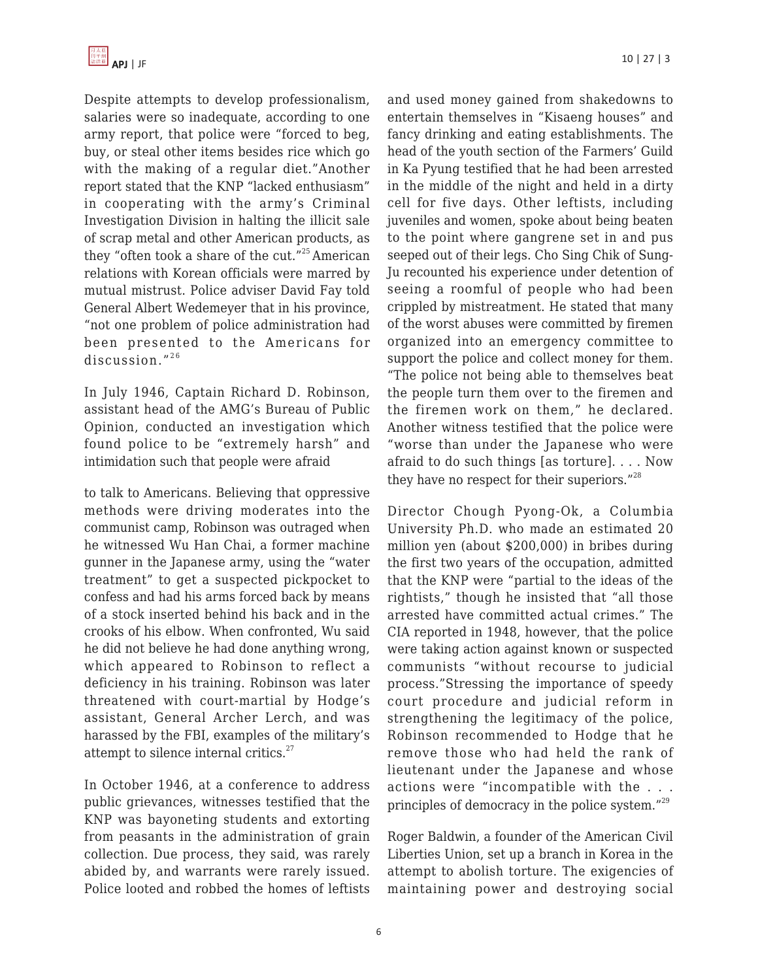

Despite attempts to develop professionalism, salaries were so inadequate, according to one army report, that police were "forced to beg, buy, or steal other items besides rice which go with the making of a regular diet."Another report stated that the KNP "lacked enthusiasm" in cooperating with the army's Criminal Investigation Division in halting the illicit sale of scrap metal and other American products, as they "often took a share of the cut."<sup>25</sup> American relations with Korean officials were marred by mutual mistrust. Police adviser David Fay told General Albert Wedemeyer that in his province, "not one problem of police administration had been presented to the Americans for discussion. $"^{26}$ 

In July 1946, Captain Richard D. Robinson, assistant head of the AMG's Bureau of Public Opinion, conducted an investigation which found police to be "extremely harsh" and intimidation such that people were afraid

to talk to Americans. Believing that oppressive methods were driving moderates into the communist camp, Robinson was outraged when he witnessed Wu Han Chai, a former machine gunner in the Japanese army, using the "water treatment" to get a suspected pickpocket to confess and had his arms forced back by means of a stock inserted behind his back and in the crooks of his elbow. When confronted, Wu said he did not believe he had done anything wrong, which appeared to Robinson to reflect a deficiency in his training. Robinson was later threatened with court-martial by Hodge's assistant, General Archer Lerch, and was harassed by the FBI, examples of the military's attempt to silence internal critics.<sup>27</sup>

In October 1946, at a conference to address public grievances, witnesses testified that the KNP was bayoneting students and extorting from peasants in the administration of grain collection. Due process, they said, was rarely abided by, and warrants were rarely issued. Police looted and robbed the homes of leftists and used money gained from shakedowns to entertain themselves in "Kisaeng houses" and fancy drinking and eating establishments. The head of the youth section of the Farmers' Guild in Ka Pyung testified that he had been arrested in the middle of the night and held in a dirty cell for five days. Other leftists, including juveniles and women, spoke about being beaten to the point where gangrene set in and pus seeped out of their legs. Cho Sing Chik of Sung-Ju recounted his experience under detention of seeing a roomful of people who had been crippled by mistreatment. He stated that many of the worst abuses were committed by firemen organized into an emergency committee to support the police and collect money for them. "The police not being able to themselves beat the people turn them over to the firemen and the firemen work on them," he declared. Another witness testified that the police were "worse than under the Japanese who were afraid to do such things [as torture]. . . . Now they have no respect for their superiors."<sup>28</sup>

Director Chough Pyong-Ok, a Columbia University Ph.D. who made an estimated 20 million yen (about \$200,000) in bribes during the first two years of the occupation, admitted that the KNP were "partial to the ideas of the rightists," though he insisted that "all those arrested have committed actual crimes." The CIA reported in 1948, however, that the police were taking action against known or suspected communists "without recourse to judicial process."Stressing the importance of speedy court procedure and judicial reform in strengthening the legitimacy of the police, Robinson recommended to Hodge that he remove those who had held the rank of lieutenant under the Japanese and whose actions were "incompatible with the . . . principles of democracy in the police system."<sup>29</sup>

Roger Baldwin, a founder of the American Civil Liberties Union, set up a branch in Korea in the attempt to abolish torture. The exigencies of maintaining power and destroying social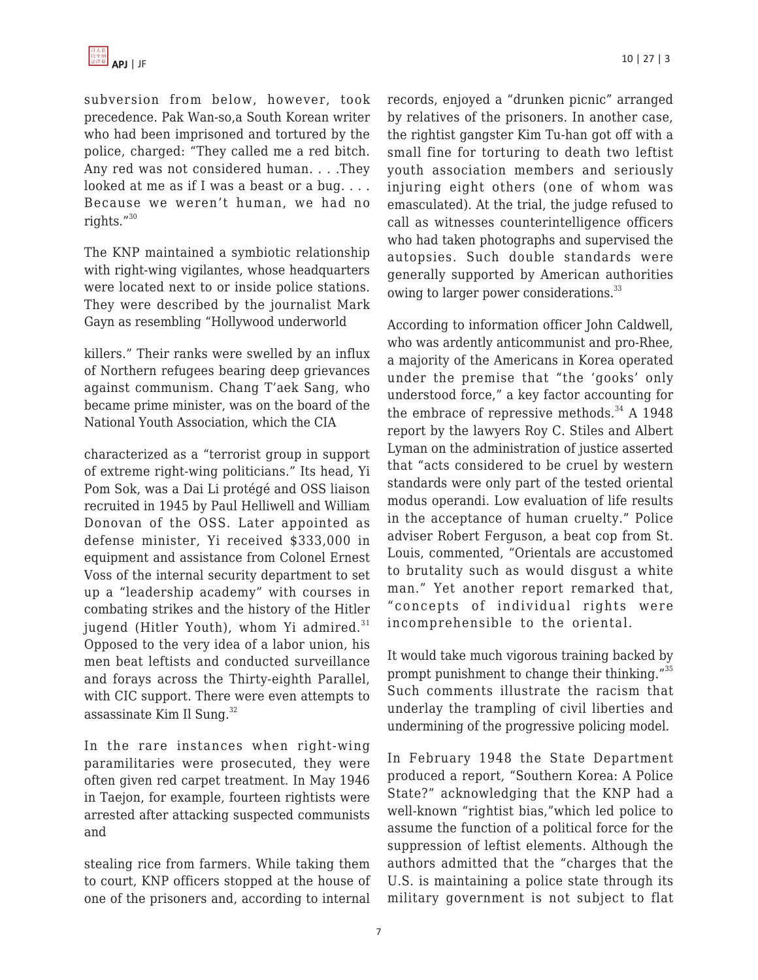subversion from below, however, took precedence. Pak Wan-so,a South Korean writer who had been imprisoned and tortured by the police, charged: "They called me a red bitch. Any red was not considered human. . . .They looked at me as if I was a beast or a bug. . . . Because we weren't human, we had no rights."<sup>30</sup>

The KNP maintained a symbiotic relationship with right-wing vigilantes, whose headquarters were located next to or inside police stations. They were described by the journalist Mark Gayn as resembling "Hollywood underworld

killers." Their ranks were swelled by an influx of Northern refugees bearing deep grievances against communism. Chang T'aek Sang, who became prime minister, was on the board of the National Youth Association, which the CIA

characterized as a "terrorist group in support of extreme right-wing politicians." Its head, Yi Pom Sok, was a Dai Li protégé and OSS liaison recruited in 1945 by Paul Helliwell and William Donovan of the OSS. Later appointed as defense minister, Yi received \$333,000 in equipment and assistance from Colonel Ernest Voss of the internal security department to set up a "leadership academy" with courses in combating strikes and the history of the Hitler jugend (Hitler Youth), whom Yi admired. $31$ Opposed to the very idea of a labor union, his men beat leftists and conducted surveillance and forays across the Thirty-eighth Parallel, with CIC support. There were even attempts to assassinate Kim Il Sung. $32$ 

In the rare instances when right-wing paramilitaries were prosecuted, they were often given red carpet treatment. In May 1946 in Taejon, for example, fourteen rightists were arrested after attacking suspected communists and

stealing rice from farmers. While taking them to court, KNP officers stopped at the house of one of the prisoners and, according to internal records, enjoyed a "drunken picnic" arranged by relatives of the prisoners. In another case, the rightist gangster Kim Tu-han got off with a small fine for torturing to death two leftist youth association members and seriously injuring eight others (one of whom was emasculated). At the trial, the judge refused to call as witnesses counterintelligence officers who had taken photographs and supervised the autopsies. Such double standards were generally supported by American authorities owing to larger power considerations.<sup>33</sup>

According to information officer John Caldwell, who was ardently anticommunist and pro-Rhee, a majority of the Americans in Korea operated under the premise that "the 'gooks' only understood force," a key factor accounting for the embrace of repressive methods. $34$  A 1948 report by the lawyers Roy C. Stiles and Albert Lyman on the administration of justice asserted that "acts considered to be cruel by western standards were only part of the tested oriental modus operandi. Low evaluation of life results in the acceptance of human cruelty." Police adviser Robert Ferguson, a beat cop from St. Louis, commented, "Orientals are accustomed to brutality such as would disgust a white man." Yet another report remarked that, "concepts of individual rights were incomprehensible to the oriental.

It would take much vigorous training backed by prompt punishment to change their thinking."<sup>35</sup> Such comments illustrate the racism that underlay the trampling of civil liberties and undermining of the progressive policing model.

In February 1948 the State Department produced a report, "Southern Korea: A Police State?" acknowledging that the KNP had a well-known "rightist bias,"which led police to assume the function of a political force for the suppression of leftist elements. Although the authors admitted that the "charges that the U.S. is maintaining a police state through its military government is not subject to flat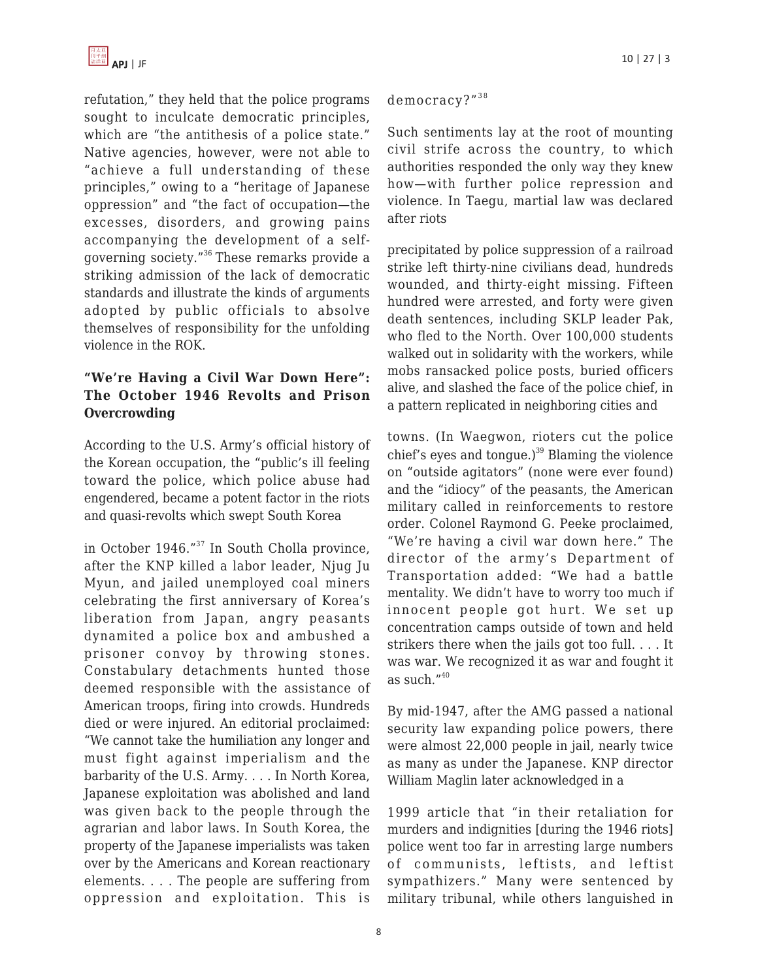refutation," they held that the police programs sought to inculcate democratic principles, which are "the antithesis of a police state." Native agencies, however, were not able to "achieve a full understanding of these principles," owing to a "heritage of Japanese oppression" and "the fact of occupation—the excesses, disorders, and growing pains accompanying the development of a selfgoverning society."<sup>36</sup>These remarks provide a striking admission of the lack of democratic standards and illustrate the kinds of arguments adopted by public officials to absolve themselves of responsibility for the unfolding violence in the ROK.

### **"We're Having a Civil War Down Here": The October 1946 Revolts and Prison Overcrowding**

According to the U.S. Army's official history of the Korean occupation, the "public's ill feeling toward the police, which police abuse had engendered, became a potent factor in the riots and quasi-revolts which swept South Korea

in October 1946."<sup>37</sup> In South Cholla province, after the KNP killed a labor leader, Njug Ju Myun, and jailed unemployed coal miners celebrating the first anniversary of Korea's liberation from Japan, angry peasants dynamited a police box and ambushed a prisoner convoy by throwing stones. Constabulary detachments hunted those deemed responsible with the assistance of American troops, firing into crowds. Hundreds died or were injured. An editorial proclaimed: "We cannot take the humiliation any longer and must fight against imperialism and the barbarity of the U.S. Army. . . . In North Korea, Japanese exploitation was abolished and land was given back to the people through the agrarian and labor laws. In South Korea, the property of the Japanese imperialists was taken over by the Americans and Korean reactionary elements. . . . The people are suffering from oppression and exploitation. This is democracy?"<sup>38</sup>

Such sentiments lay at the root of mounting civil strife across the country, to which authorities responded the only way they knew how—with further police repression and violence. In Taegu, martial law was declared after riots

precipitated by police suppression of a railroad strike left thirty-nine civilians dead, hundreds wounded, and thirty-eight missing. Fifteen hundred were arrested, and forty were given death sentences, including SKLP leader Pak, who fled to the North. Over 100,000 students walked out in solidarity with the workers, while mobs ransacked police posts, buried officers alive, and slashed the face of the police chief, in a pattern replicated in neighboring cities and

towns. (In Waegwon, rioters cut the police chief's eyes and tongue.) $39$  Blaming the violence on "outside agitators" (none were ever found) and the "idiocy" of the peasants, the American military called in reinforcements to restore order. Colonel Raymond G. Peeke proclaimed, "We're having a civil war down here." The director of the army's Department of Transportation added: "We had a battle mentality. We didn't have to worry too much if innocent people got hurt. We set up concentration camps outside of town and held strikers there when the jails got too full. . . . It was war. We recognized it as war and fought it as such. $^{\prime\prime40}$ 

By mid-1947, after the AMG passed a national security law expanding police powers, there were almost 22,000 people in jail, nearly twice as many as under the Japanese. KNP director William Maglin later acknowledged in a

1999 article that "in their retaliation for murders and indignities [during the 1946 riots] police went too far in arresting large numbers of communists, leftists, and leftist sympathizers." Many were sentenced by military tribunal, while others languished in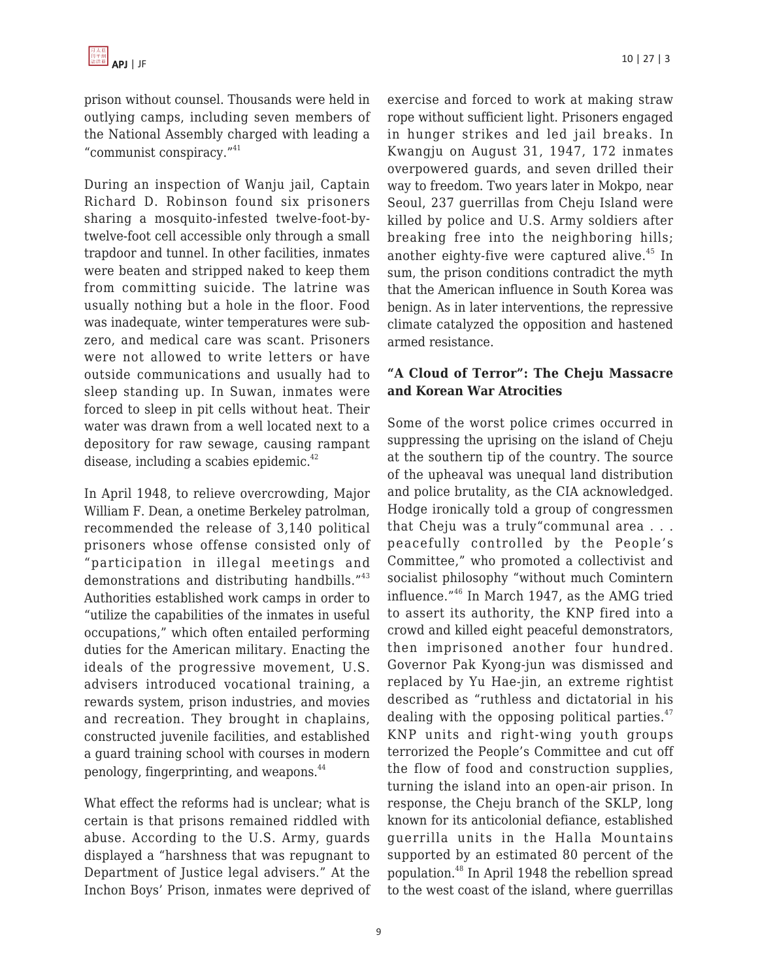prison without counsel. Thousands were held in outlying camps, including seven members of the National Assembly charged with leading a "communist conspiracy."<sup>41</sup>

During an inspection of Wanju jail, Captain Richard D. Robinson found six prisoners sharing a mosquito-infested twelve-foot-bytwelve-foot cell accessible only through a small trapdoor and tunnel. In other facilities, inmates were beaten and stripped naked to keep them from committing suicide. The latrine was usually nothing but a hole in the floor. Food was inadequate, winter temperatures were subzero, and medical care was scant. Prisoners were not allowed to write letters or have outside communications and usually had to sleep standing up. In Suwan, inmates were forced to sleep in pit cells without heat. Their water was drawn from a well located next to a depository for raw sewage, causing rampant disease, including a scabies epidemic. $42$ 

In April 1948, to relieve overcrowding, Major William F. Dean, a onetime Berkeley patrolman, recommended the release of 3,140 political prisoners whose offense consisted only of "participation in illegal meetings and demonstrations and distributing handbills."<sup>43</sup> Authorities established work camps in order to "utilize the capabilities of the inmates in useful occupations," which often entailed performing duties for the American military. Enacting the ideals of the progressive movement, U.S. advisers introduced vocational training, a rewards system, prison industries, and movies and recreation. They brought in chaplains, constructed juvenile facilities, and established a guard training school with courses in modern penology, fingerprinting, and weapons.<sup>44</sup>

What effect the reforms had is unclear; what is certain is that prisons remained riddled with abuse. According to the U.S. Army, guards displayed a "harshness that was repugnant to Department of Justice legal advisers." At the Inchon Boys' Prison, inmates were deprived of exercise and forced to work at making straw rope without sufficient light. Prisoners engaged in hunger strikes and led jail breaks. In Kwangju on August 31, 1947, 172 inmates overpowered guards, and seven drilled their way to freedom. Two years later in Mokpo, near Seoul, 237 guerrillas from Cheju Island were killed by police and U.S. Army soldiers after breaking free into the neighboring hills; another eighty-five were captured alive. $45$  In sum, the prison conditions contradict the myth that the American influence in South Korea was benign. As in later interventions, the repressive climate catalyzed the opposition and hastened armed resistance.

### **"A Cloud of Terror": The Cheju Massacre and Korean War Atrocities**

Some of the worst police crimes occurred in suppressing the uprising on the island of Cheju at the southern tip of the country. The source of the upheaval was unequal land distribution and police brutality, as the CIA acknowledged. Hodge ironically told a group of congressmen that Cheju was a truly"communal area . . . peacefully controlled by the People's Committee," who promoted a collectivist and socialist philosophy "without much Comintern influence."<sup>46</sup> In March 1947, as the AMG tried to assert its authority, the KNP fired into a crowd and killed eight peaceful demonstrators, then imprisoned another four hundred. Governor Pak Kyong-jun was dismissed and replaced by Yu Hae-jin, an extreme rightist described as "ruthless and dictatorial in his dealing with the opposing political parties. $47$ KNP units and right-wing youth groups terrorized the People's Committee and cut off the flow of food and construction supplies, turning the island into an open-air prison. In response, the Cheju branch of the SKLP, long known for its anticolonial defiance, established guerrilla units in the Halla Mountains supported by an estimated 80 percent of the population.<sup>48</sup> In April 1948 the rebellion spread to the west coast of the island, where guerrillas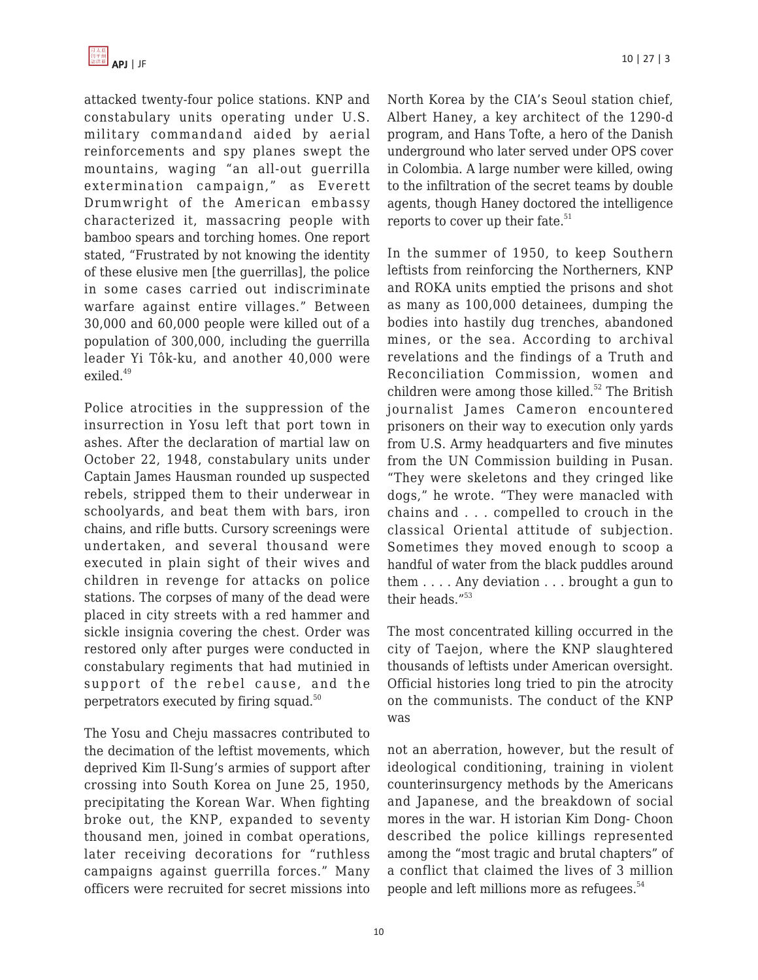

attacked twenty-four police stations. KNP and constabulary units operating under U.S. military commandand aided by aerial reinforcements and spy planes swept the mountains, waging "an all-out guerrilla extermination campaign," as Everett Drumwright of the American embassy characterized it, massacring people with bamboo spears and torching homes. One report stated, "Frustrated by not knowing the identity of these elusive men [the guerrillas], the police in some cases carried out indiscriminate warfare against entire villages." Between 30,000 and 60,000 people were killed out of a population of 300,000, including the guerrilla leader Yi Tôk-ku, and another 40,000 were exiled.<sup>49</sup>

Police atrocities in the suppression of the insurrection in Yosu left that port town in ashes. After the declaration of martial law on October 22, 1948, constabulary units under Captain James Hausman rounded up suspected rebels, stripped them to their underwear in schoolyards, and beat them with bars, iron chains, and rifle butts. Cursory screenings were undertaken, and several thousand were executed in plain sight of their wives and children in revenge for attacks on police stations. The corpses of many of the dead were placed in city streets with a red hammer and sickle insignia covering the chest. Order was restored only after purges were conducted in constabulary regiments that had mutinied in support of the rebel cause, and the perpetrators executed by firing squad.<sup>50</sup>

The Yosu and Cheju massacres contributed to the decimation of the leftist movements, which deprived Kim Il-Sung's armies of support after crossing into South Korea on June 25, 1950, precipitating the Korean War. When fighting broke out, the KNP, expanded to seventy thousand men, joined in combat operations, later receiving decorations for "ruthless campaigns against guerrilla forces." Many officers were recruited for secret missions into North Korea by the CIA's Seoul station chief, Albert Haney, a key architect of the 1290-d program, and Hans Tofte, a hero of the Danish underground who later served under OPS cover in Colombia. A large number were killed, owing to the infiltration of the secret teams by double agents, though Haney doctored the intelligence reports to cover up their fate. $51$ 

In the summer of 1950, to keep Southern leftists from reinforcing the Northerners, KNP and ROKA units emptied the prisons and shot as many as 100,000 detainees, dumping the bodies into hastily dug trenches, abandoned mines, or the sea. According to archival revelations and the findings of a Truth and Reconciliation Commission, women and children were among those killed.<sup>52</sup> The British journalist James Cameron encountered prisoners on their way to execution only yards from U.S. Army headquarters and five minutes from the UN Commission building in Pusan. "They were skeletons and they cringed like dogs," he wrote. "They were manacled with chains and . . . compelled to crouch in the classical Oriental attitude of subjection. Sometimes they moved enough to scoop a handful of water from the black puddles around them . . . . Any deviation . . . brought a gun to their heads.<sup>"53</sup>

The most concentrated killing occurred in the city of Taejon, where the KNP slaughtered thousands of leftists under American oversight. Official histories long tried to pin the atrocity on the communists. The conduct of the KNP was

not an aberration, however, but the result of ideological conditioning, training in violent counterinsurgency methods by the Americans and Japanese, and the breakdown of social mores in the war. H istorian Kim Dong- Choon described the police killings represented among the "most tragic and brutal chapters" of a conflict that claimed the lives of 3 million people and left millions more as refugees.<sup>54</sup>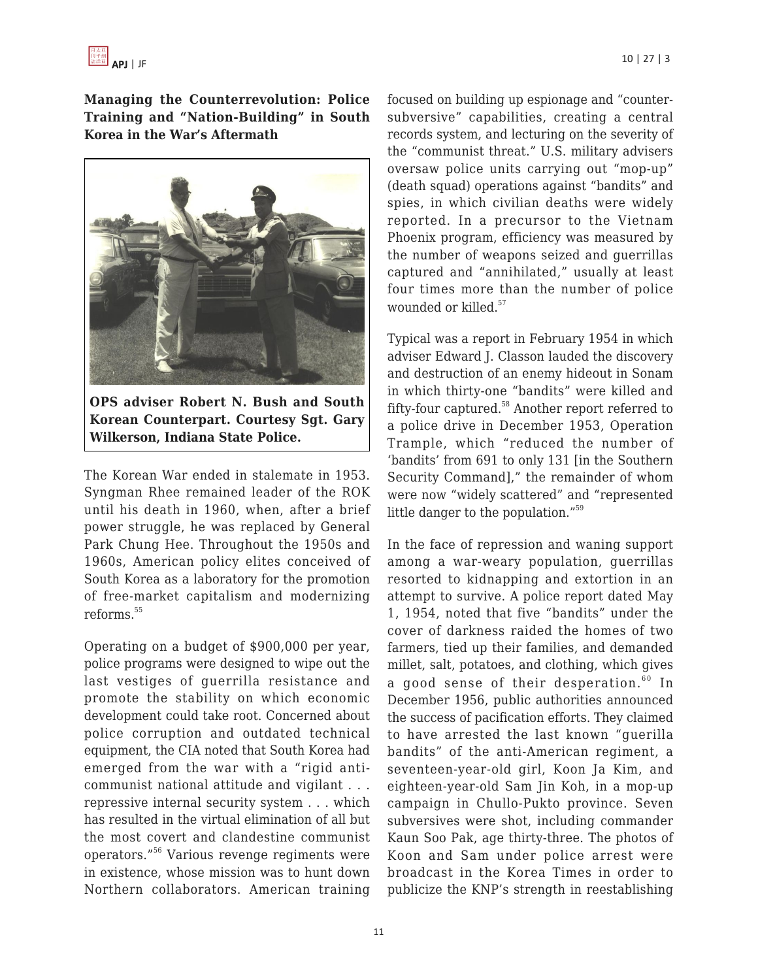

**Managing the Counterrevolution: Police Training and "Nation-Building" in South Korea in the War's Aftermath**



**OPS adviser Robert N. Bush and South Korean Counterpart. Courtesy Sgt. Gary Wilkerson, Indiana State Police.**

The Korean War ended in stalemate in 1953. Syngman Rhee remained leader of the ROK until his death in 1960, when, after a brief power struggle, he was replaced by General Park Chung Hee. Throughout the 1950s and 1960s, American policy elites conceived of South Korea as a laboratory for the promotion of free-market capitalism and modernizing reforms.<sup>55</sup>

Operating on a budget of \$900,000 per year, police programs were designed to wipe out the last vestiges of guerrilla resistance and promote the stability on which economic development could take root. Concerned about police corruption and outdated technical equipment, the CIA noted that South Korea had emerged from the war with a "rigid anticommunist national attitude and vigilant . . . repressive internal security system . . . which has resulted in the virtual elimination of all but the most covert and clandestine communist operators."<sup>56</sup> Various revenge regiments were in existence, whose mission was to hunt down Northern collaborators. American training focused on building up espionage and "countersubversive" capabilities, creating a central records system, and lecturing on the severity of the "communist threat." U.S. military advisers oversaw police units carrying out "mop-up" (death squad) operations against "bandits" and spies, in which civilian deaths were widely reported. In a precursor to the Vietnam Phoenix program, efficiency was measured by the number of weapons seized and guerrillas captured and "annihilated," usually at least four times more than the number of police wounded or killed.<sup>57</sup>

Typical was a report in February 1954 in which adviser Edward J. Classon lauded the discovery and destruction of an enemy hideout in Sonam in which thirty-one "bandits" were killed and fifty-four captured.<sup>58</sup> Another report referred to a police drive in December 1953, Operation Trample, which "reduced the number of 'bandits' from 691 to only 131 [in the Southern Security Command]," the remainder of whom were now "widely scattered" and "represented little danger to the population."<sup>59</sup>

In the face of repression and waning support among a war-weary population, guerrillas resorted to kidnapping and extortion in an attempt to survive. A police report dated May 1, 1954, noted that five "bandits" under the cover of darkness raided the homes of two farmers, tied up their families, and demanded millet, salt, potatoes, and clothing, which gives a good sense of their desperation.<sup>60</sup> In December 1956, public authorities announced the success of pacification efforts. They claimed to have arrested the last known "guerilla bandits" of the anti-American regiment, a seventeen-year-old girl, Koon Ja Kim, and eighteen-year-old Sam Jin Koh, in a mop-up campaign in Chullo-Pukto province. Seven subversives were shot, including commander Kaun Soo Pak, age thirty-three. The photos of Koon and Sam under police arrest were broadcast in the Korea Times in order to publicize the KNP's strength in reestablishing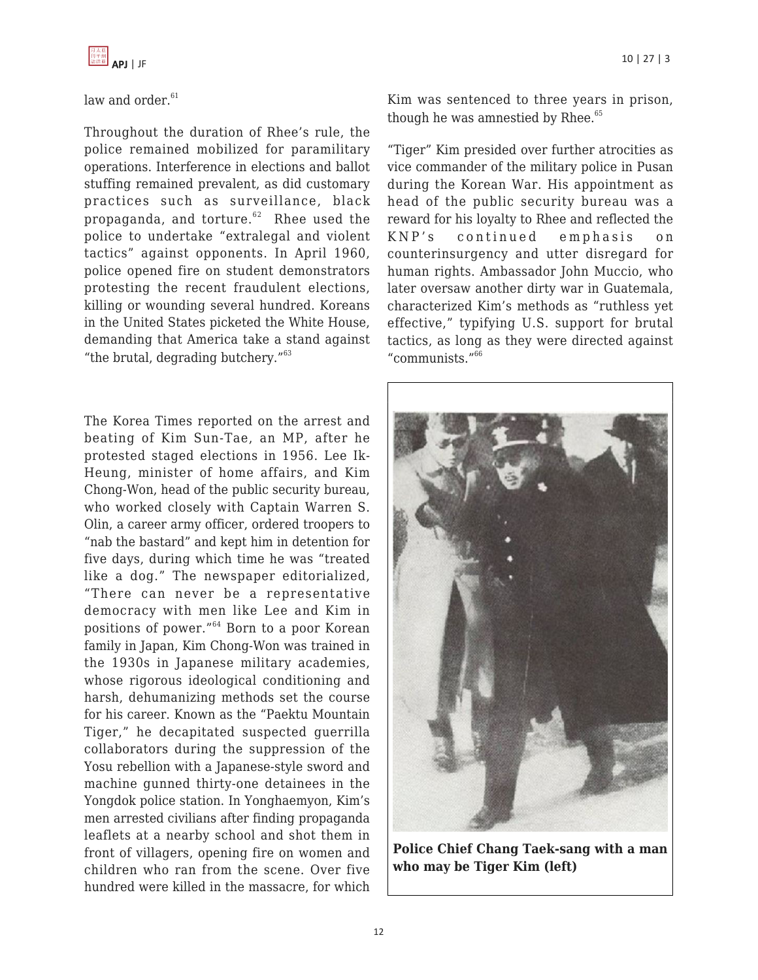

#### law and order. $61$

Throughout the duration of Rhee's rule, the police remained mobilized for paramilitary operations. Interference in elections and ballot stuffing remained prevalent, as did customary practices such as surveillance, black propaganda, and torture. $62$  Rhee used the police to undertake "extralegal and violent tactics" against opponents. In April 1960, police opened fire on student demonstrators protesting the recent fraudulent elections, killing or wounding several hundred. Koreans in the United States picketed the White House, demanding that America take a stand against "the brutal, degrading butchery."<sup>63</sup>

The Korea Times reported on the arrest and beating of Kim Sun-Tae, an MP, after he protested staged elections in 1956. Lee Ik-Heung, minister of home affairs, and Kim Chong-Won, head of the public security bureau, who worked closely with Captain Warren S. Olin, a career army officer, ordered troopers to "nab the bastard" and kept him in detention for five days, during which time he was "treated like a dog." The newspaper editorialized, "There can never be a representative democracy with men like Lee and Kim in positions of power."<sup>64</sup> Born to a poor Korean family in Japan, Kim Chong-Won was trained in the 1930s in Japanese military academies, whose rigorous ideological conditioning and harsh, dehumanizing methods set the course for his career. Known as the "Paektu Mountain Tiger," he decapitated suspected guerrilla collaborators during the suppression of the Yosu rebellion with a Japanese-style sword and machine gunned thirty-one detainees in the Yongdok police station. In Yonghaemyon, Kim's men arrested civilians after finding propaganda leaflets at a nearby school and shot them in front of villagers, opening fire on women and children who ran from the scene. Over five hundred were killed in the massacre, for which

Kim was sentenced to three years in prison, though he was amnestied by Rhee. $65$ 

"Tiger" Kim presided over further atrocities as vice commander of the military police in Pusan during the Korean War. His appointment as head of the public security bureau was a reward for his loyalty to Rhee and reflected the KNP's continued emphasis on counterinsurgency and utter disregard for human rights. Ambassador John Muccio, who later oversaw another dirty war in Guatemala, characterized Kim's methods as "ruthless yet effective," typifying U.S. support for brutal tactics, as long as they were directed against "communists."<sup>66</sup>



**Police Chief Chang Taek-sang with a man who may be Tiger Kim (left)**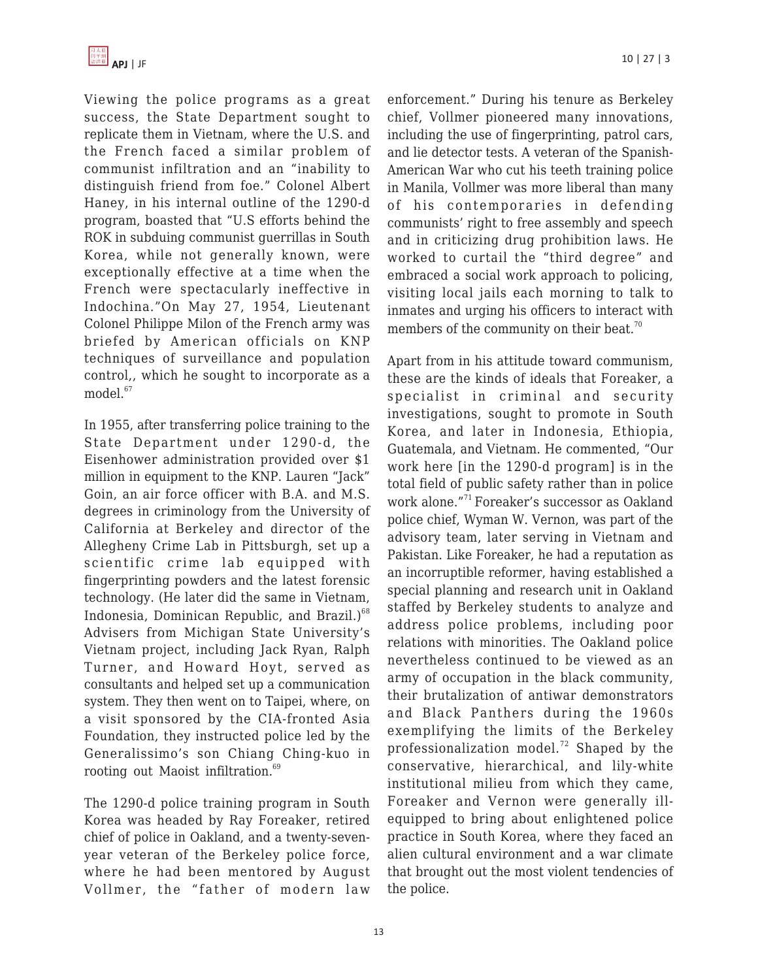

Viewing the police programs as a great success, the State Department sought to replicate them in Vietnam, where the U.S. and the French faced a similar problem of communist infiltration and an "inability to distinguish friend from foe." Colonel Albert Haney, in his internal outline of the 1290-d program, boasted that "U.S efforts behind the ROK in subduing communist guerrillas in South Korea, while not generally known, were exceptionally effective at a time when the French were spectacularly ineffective in Indochina."On May 27, 1954, Lieutenant Colonel Philippe Milon of the French army was briefed by American officials on KNP techniques of surveillance and population control,, which he sought to incorporate as a model.<sup>67</sup>

In 1955, after transferring police training to the State Department under 1290-d, the Eisenhower administration provided over \$1 million in equipment to the KNP. Lauren "Jack" Goin, an air force officer with B.A. and M.S. degrees in criminology from the University of California at Berkeley and director of the Allegheny Crime Lab in Pittsburgh, set up a scientific crime lab equipped with fingerprinting powders and the latest forensic technology. (He later did the same in Vietnam, Indonesia, Dominican Republic, and Brazil.) $68$ Advisers from Michigan State University's Vietnam project, including Jack Ryan, Ralph Turner, and Howard Hoyt, served as consultants and helped set up a communication system. They then went on to Taipei, where, on a visit sponsored by the CIA-fronted Asia Foundation, they instructed police led by the Generalissimo's son Chiang Ching-kuo in rooting out Maoist infiltration.<sup>69</sup>

The 1290-d police training program in South Korea was headed by Ray Foreaker, retired chief of police in Oakland, and a twenty-sevenyear veteran of the Berkeley police force, where he had been mentored by August Vollmer, the "father of modern law

enforcement." During his tenure as Berkeley chief, Vollmer pioneered many innovations, including the use of fingerprinting, patrol cars, and lie detector tests. A veteran of the Spanish-American War who cut his teeth training police in Manila, Vollmer was more liberal than many of his contemporaries in defending communists' right to free assembly and speech and in criticizing drug prohibition laws. He worked to curtail the "third degree" and embraced a social work approach to policing, visiting local jails each morning to talk to inmates and urging his officers to interact with members of the community on their beat.<sup>70</sup>

Apart from in his attitude toward communism, these are the kinds of ideals that Foreaker, a specialist in criminal and security investigations, sought to promote in South Korea, and later in Indonesia, Ethiopia, Guatemala, and Vietnam. He commented, "Our work here [in the 1290-d program] is in the total field of public safety rather than in police work alone."<sup>71</sup> Foreaker's successor as Oakland police chief, Wyman W. Vernon, was part of the advisory team, later serving in Vietnam and Pakistan. Like Foreaker, he had a reputation as an incorruptible reformer, having established a special planning and research unit in Oakland staffed by Berkeley students to analyze and address police problems, including poor relations with minorities. The Oakland police nevertheless continued to be viewed as an army of occupation in the black community, their brutalization of antiwar demonstrators and Black Panthers during the 1960s exemplifying the limits of the Berkeley professionalization model.<sup>72</sup> Shaped by the conservative, hierarchical, and lily-white institutional milieu from which they came, Foreaker and Vernon were generally illequipped to bring about enlightened police practice in South Korea, where they faced an alien cultural environment and a war climate that brought out the most violent tendencies of the police.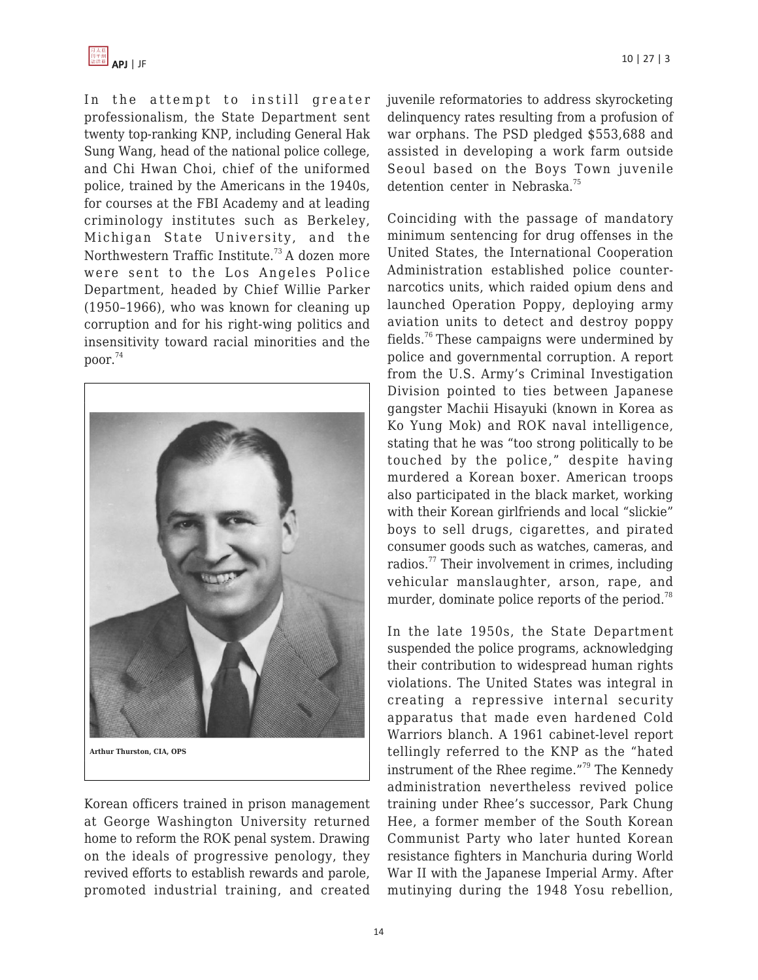

In the attempt to instill greater professionalism, the State Department sent twenty top-ranking KNP, including General Hak Sung Wang, head of the national police college, and Chi Hwan Choi, chief of the uniformed police, trained by the Americans in the 1940s, for courses at the FBI Academy and at leading criminology institutes such as Berkeley, Michigan State University, and the Northwestern Traffic Institute.<sup>73</sup> A dozen more were sent to the Los Angeles Police Department, headed by Chief Willie Parker (1950–1966), who was known for cleaning up corruption and for his right-wing politics and insensitivity toward racial minorities and the poor. $74$ 



Korean officers trained in prison management at George Washington University returned home to reform the ROK penal system. Drawing on the ideals of progressive penology, they revived efforts to establish rewards and parole, promoted industrial training, and created

juvenile reformatories to address skyrocketing delinquency rates resulting from a profusion of war orphans. The PSD pledged \$553,688 and assisted in developing a work farm outside Seoul based on the Boys Town juvenile detention center in Nebraska.<sup>75</sup>

Coinciding with the passage of mandatory minimum sentencing for drug offenses in the United States, the International Cooperation Administration established police counternarcotics units, which raided opium dens and launched Operation Poppy, deploying army aviation units to detect and destroy poppy fields.<sup>76</sup> These campaigns were undermined by police and governmental corruption. A report from the U.S. Army's Criminal Investigation Division pointed to ties between Japanese gangster Machii Hisayuki (known in Korea as Ko Yung Mok) and ROK naval intelligence, stating that he was "too strong politically to be touched by the police," despite having murdered a Korean boxer. American troops also participated in the black market, working with their Korean girlfriends and local "slickie" boys to sell drugs, cigarettes, and pirated consumer goods such as watches, cameras, and radios.<sup>77</sup> Their involvement in crimes, including vehicular manslaughter, arson, rape, and murder, dominate police reports of the period.<sup>78</sup>

In the late 1950s, the State Department suspended the police programs, acknowledging their contribution to widespread human rights violations. The United States was integral in creating a repressive internal security apparatus that made even hardened Cold Warriors blanch. A 1961 cabinet-level report tellingly referred to the KNP as the "hated instrument of the Rhee regime."<sup>79</sup> The Kennedy administration nevertheless revived police training under Rhee's successor, Park Chung Hee, a former member of the South Korean Communist Party who later hunted Korean resistance fighters in Manchuria during World War II with the Japanese Imperial Army. After mutinying during the 1948 Yosu rebellion,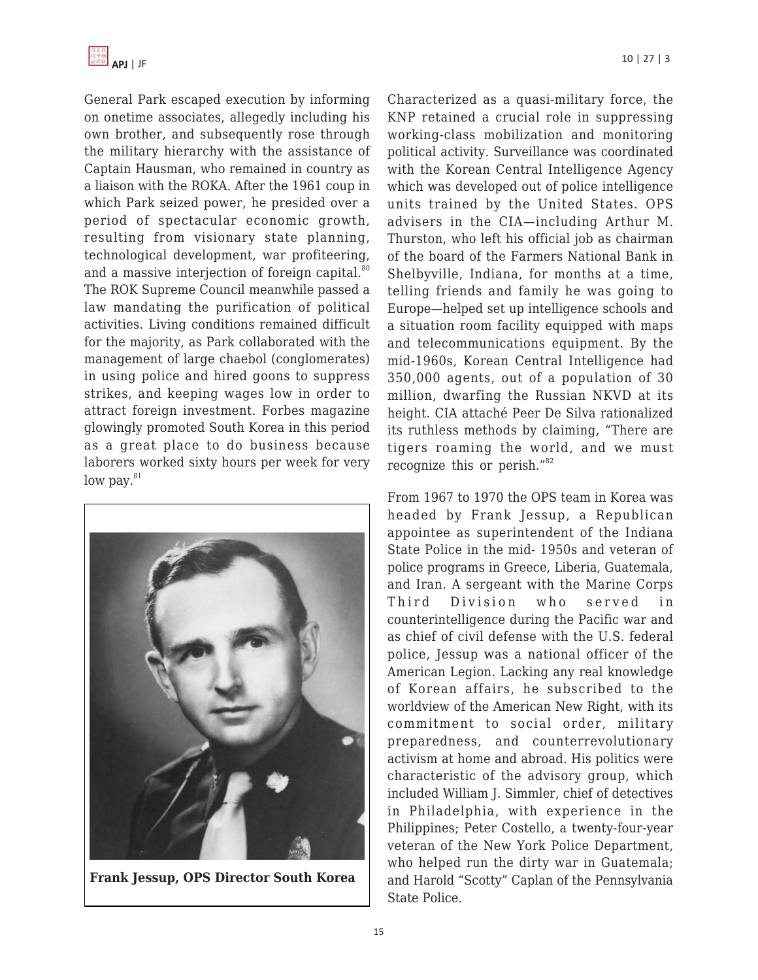

General Park escaped execution by informing on onetime associates, allegedly including his own brother, and subsequently rose through the military hierarchy with the assistance of Captain Hausman, who remained in country as a liaison with the ROKA. After the 1961 coup in which Park seized power, he presided over a period of spectacular economic growth, resulting from visionary state planning, technological development, war profiteering, and a massive interjection of foreign capital.<sup>80</sup> The ROK Supreme Council meanwhile passed a law mandating the purification of political activities. Living conditions remained difficult for the majority, as Park collaborated with the management of large chaebol (conglomerates) in using police and hired goons to suppress strikes, and keeping wages low in order to attract foreign investment. Forbes magazine glowingly promoted South Korea in this period as a great place to do business because laborers worked sixty hours per week for very low pay. $81$ 



**Frank Jessup, OPS Director South Korea**

Characterized as a quasi-military force, the KNP retained a crucial role in suppressing working-class mobilization and monitoring political activity. Surveillance was coordinated with the Korean Central Intelligence Agency which was developed out of police intelligence units trained by the United States. OPS advisers in the CIA—including Arthur M. Thurston, who left his official job as chairman of the board of the Farmers National Bank in Shelbyville, Indiana, for months at a time, telling friends and family he was going to Europe—helped set up intelligence schools and a situation room facility equipped with maps and telecommunications equipment. By the mid-1960s, Korean Central Intelligence had 350,000 agents, out of a population of 30 million, dwarfing the Russian NKVD at its height. CIA attaché Peer De Silva rationalized its ruthless methods by claiming, "There are tigers roaming the world, and we must recognize this or perish."<sup>82</sup>

From 1967 to 1970 the OPS team in Korea was headed by Frank Jessup, a Republican appointee as superintendent of the Indiana State Police in the mid- 1950s and veteran of police programs in Greece, Liberia, Guatemala, and Iran. A sergeant with the Marine Corps Third Division who served in counterintelligence during the Pacific war and as chief of civil defense with the U.S. federal police, Jessup was a national officer of the American Legion. Lacking any real knowledge of Korean affairs, he subscribed to the worldview of the American New Right, with its commitment to social order, military preparedness, and counterrevolutionary activism at home and abroad. His politics were characteristic of the advisory group, which included William J. Simmler, chief of detectives in Philadelphia, with experience in the Philippines; Peter Costello, a twenty-four-year veteran of the New York Police Department, who helped run the dirty war in Guatemala; and Harold "Scotty" Caplan of the Pennsylvania State Police.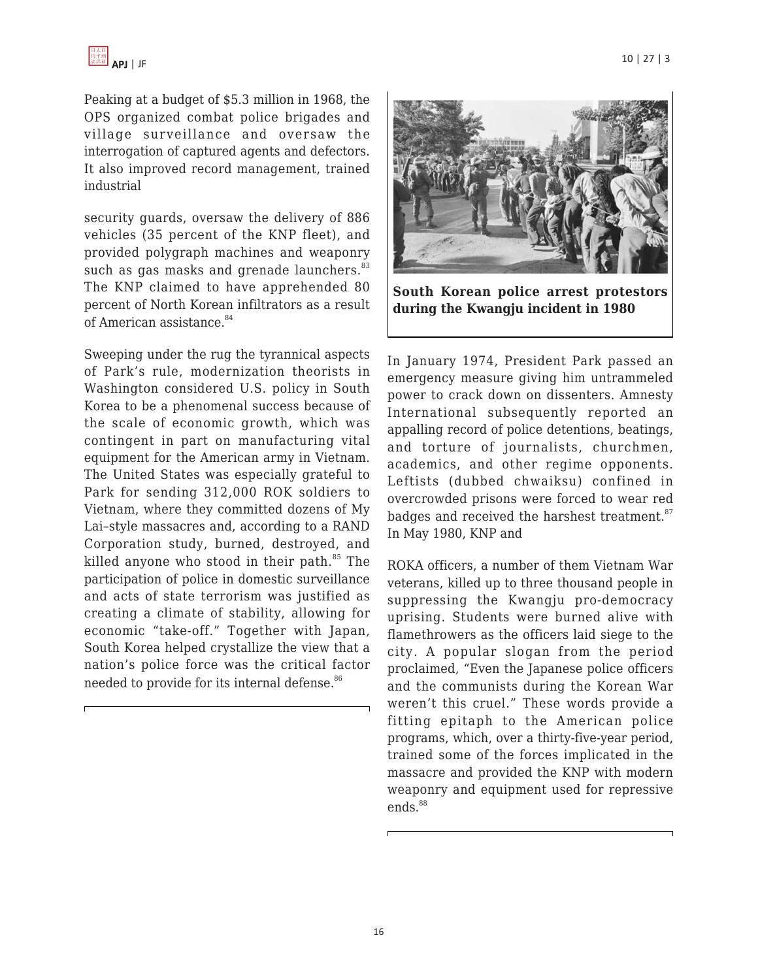

Peaking at a budget of \$5.3 million in 1968, the OPS organized combat police brigades and village surveillance and oversaw the interrogation of captured agents and defectors. It also improved record management, trained industrial

security guards, oversaw the delivery of 886 vehicles (35 percent of the KNP fleet), and provided polygraph machines and weaponry such as gas masks and grenade launchers.<sup>83</sup> The KNP claimed to have apprehended 80 percent of North Korean infiltrators as a result of American assistance.<sup>84</sup>

Sweeping under the rug the tyrannical aspects of Park's rule, modernization theorists in Washington considered U.S. policy in South Korea to be a phenomenal success because of the scale of economic growth, which was contingent in part on manufacturing vital equipment for the American army in Vietnam. The United States was especially grateful to Park for sending 312,000 ROK soldiers to Vietnam, where they committed dozens of My Lai–style massacres and, according to a RAND Corporation study, burned, destroyed, and killed anyone who stood in their path. $85$  The participation of police in domestic surveillance and acts of state terrorism was justified as creating a climate of stability, allowing for economic "take-off." Together with Japan, South Korea helped crystallize the view that a nation's police force was the critical factor needed to provide for its internal defense.<sup>86</sup>



**South Korean police arrest protestors during the Kwangju incident in 1980**

In January 1974, President Park passed an emergency measure giving him untrammeled power to crack down on dissenters. Amnesty International subsequently reported an appalling record of police detentions, beatings, and torture of journalists, churchmen, academics, and other regime opponents. Leftists (dubbed chwaiksu) confined in overcrowded prisons were forced to wear red badges and received the harshest treatment.<sup>87</sup> In May 1980, KNP and

ROKA officers, a number of them Vietnam War veterans, killed up to three thousand people in suppressing the Kwangju pro-democracy uprising. Students were burned alive with flamethrowers as the officers laid siege to the city. A popular slogan from the period proclaimed, "Even the Japanese police officers and the communists during the Korean War weren't this cruel." These words provide a fitting epitaph to the American police programs, which, over a thirty-five-year period, trained some of the forces implicated in the massacre and provided the KNP with modern weaponry and equipment used for repressive  $ends.<sup>88</sup>$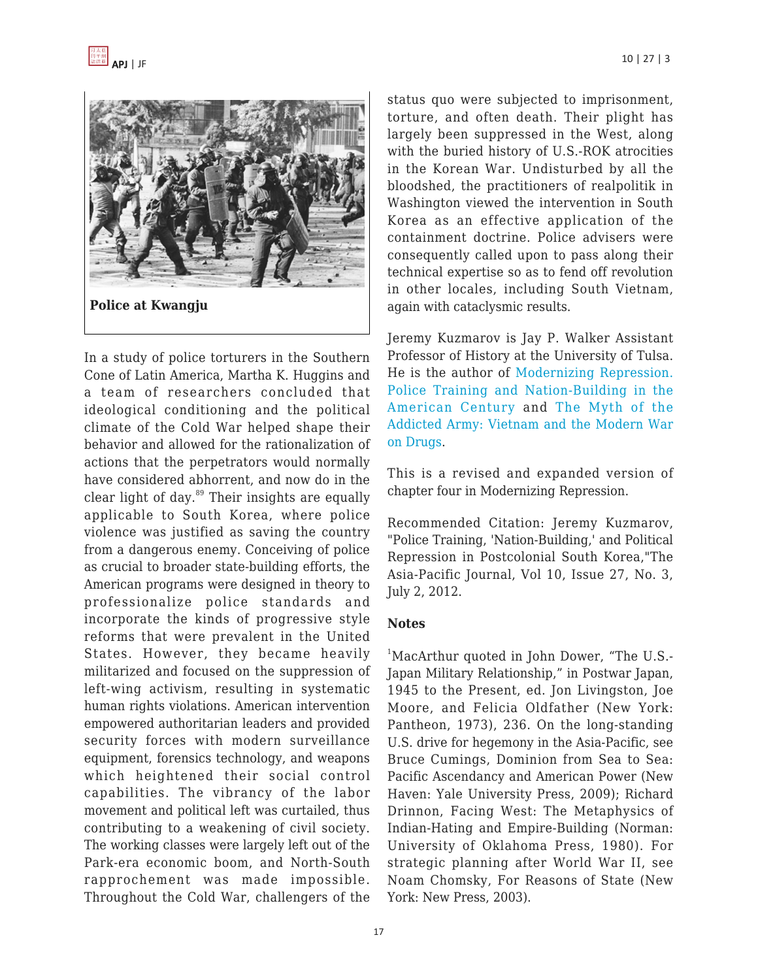



In a study of police torturers in the Southern Cone of Latin America, Martha K. Huggins and a team of researchers concluded that ideological conditioning and the political climate of the Cold War helped shape their behavior and allowed for the rationalization of actions that the perpetrators would normally have considered abhorrent, and now do in the clear light of day.<sup>89</sup> Their insights are equally applicable to South Korea, where police violence was justified as saving the country from a dangerous enemy. Conceiving of police as crucial to broader state-building efforts, the American programs were designed in theory to professionalize police standards and incorporate the kinds of progressive style reforms that were prevalent in the United States. However, they became heavily militarized and focused on the suppression of left-wing activism, resulting in systematic human rights violations. American intervention empowered authoritarian leaders and provided security forces with modern surveillance equipment, forensics technology, and weapons which heightened their social control capabilities. The vibrancy of the labor movement and political left was curtailed, thus contributing to a weakening of civil society. The working classes were largely left out of the Park-era economic boom, and North-South rapprochement was made impossible. Throughout the Cold War, challengers of the status quo were subjected to imprisonment, torture, and often death. Their plight has largely been suppressed in the West, along with the buried history of U.S.-ROK atrocities in the Korean War. Undisturbed by all the bloodshed, the practitioners of realpolitik in Washington viewed the intervention in South Korea as an effective application of the containment doctrine. Police advisers were consequently called upon to pass along their technical expertise so as to fend off revolution in other locales, including South Vietnam, again with cataclysmic results.

Jeremy Kuzmarov is Jay P. Walker Assistant Professor of History at the University of Tulsa. He is the author of [Modernizing Repression.](http://www.amazon.com/dp/1558499172/?tag=theasipacjo0b-20) [Police Training and Nation-Building in the](http://www.amazon.com/dp/1558499172/?tag=theasipacjo0b-20) [American Century](http://www.amazon.com/dp/1558499172/?tag=theasipacjo0b-20) and [The Myth of the](http://www.amazon.com/dp/1558497056/?tag=theasipacjo0b-20) [Addicted Army: Vietnam and the Modern War](http://www.amazon.com/dp/1558497056/?tag=theasipacjo0b-20) [on Drugs.](http://www.amazon.com/dp/1558497056/?tag=theasipacjo0b-20)

This is a revised and expanded version of chapter four in Modernizing Repression.

Recommended Citation: Jeremy Kuzmarov, "Police Training, 'Nation-Building,' and Political Repression in Postcolonial South Korea,"The Asia-Pacific Journal, Vol 10, Issue 27, No. 3, July 2, 2012.

#### **Notes**

<sup>1</sup>MacArthur quoted in John Dower, "The U.S.-Japan Military Relationship," in Postwar Japan, 1945 to the Present, ed. Jon Livingston, Joe Moore, and Felicia Oldfather (New York: Pantheon, 1973), 236. On the long-standing U.S. drive for hegemony in the Asia-Pacific, see Bruce Cumings, Dominion from Sea to Sea: Pacific Ascendancy and American Power (New Haven: Yale University Press, 2009); Richard Drinnon, Facing West: The Metaphysics of Indian-Hating and Empire-Building (Norman: University of Oklahoma Press, 1980). For strategic planning after World War II, see Noam Chomsky, For Reasons of State (New York: New Press, 2003).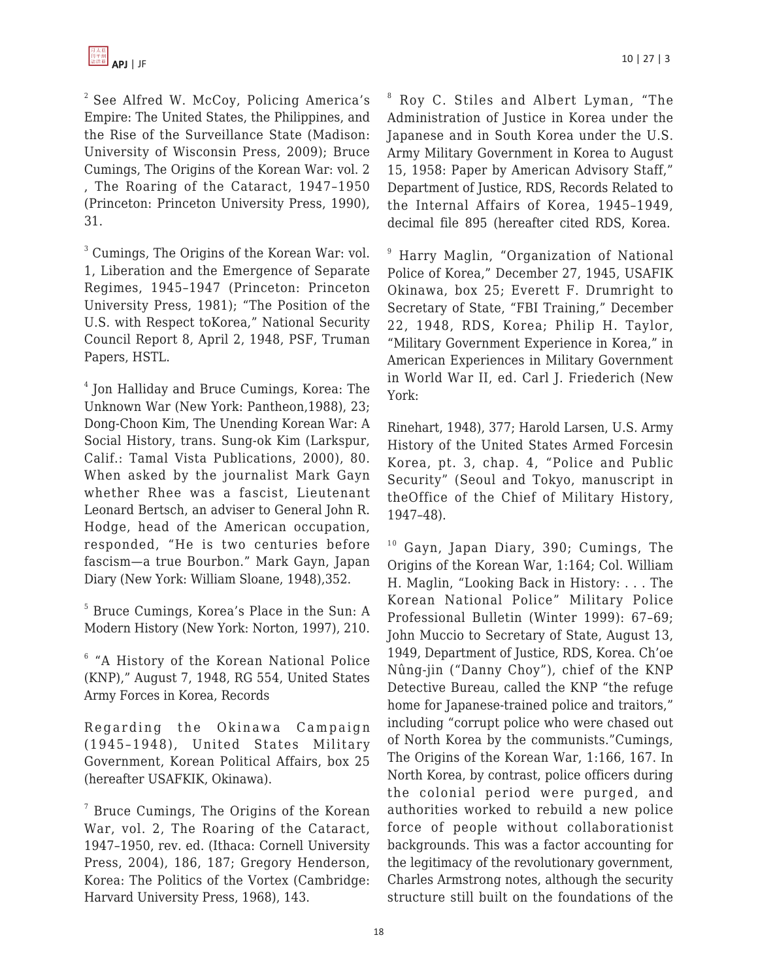$2$  See Alfred W. McCoy, Policing America's Empire: The United States, the Philippines, and the Rise of the Surveillance State (Madison: University of Wisconsin Press, 2009); Bruce Cumings, The Origins of the Korean War: vol. 2 , The Roaring of the Cataract, 1947–1950 (Princeton: Princeton University Press, 1990), 31.

<sup>3</sup> Cumings, The Origins of the Korean War: vol. 1, Liberation and the Emergence of Separate Regimes, 1945–1947 (Princeton: Princeton University Press, 1981); "The Position of the U.S. with Respect toKorea," National Security Council Report 8, April 2, 1948, PSF, Truman Papers, HSTL.

4 Jon Halliday and Bruce Cumings, Korea: The Unknown War (New York: Pantheon,1988), 23; Dong-Choon Kim, The Unending Korean War: A Social History, trans. Sung-ok Kim (Larkspur, Calif.: Tamal Vista Publications, 2000), 80. When asked by the journalist Mark Gayn whether Rhee was a fascist, Lieutenant Leonard Bertsch, an adviser to General John R. Hodge, head of the American occupation, responded, "He is two centuries before fascism—a true Bourbon." Mark Gayn, Japan Diary (New York: William Sloane, 1948),352.

5 Bruce Cumings, Korea's Place in the Sun: A Modern History (New York: Norton, 1997), 210.

<sup>6</sup> "A History of the Korean National Police (KNP)," August 7, 1948, RG 554, United States Army Forces in Korea, Records

Regarding the Okinawa Campaign (1945–1948), United States Military Government, Korean Political Affairs, box 25 (hereafter USAFKIK, Okinawa).

<sup>7</sup> Bruce Cumings, The Origins of the Korean War, vol. 2, The Roaring of the Cataract, 1947–1950, rev. ed. (Ithaca: Cornell University Press, 2004), 186, 187; Gregory Henderson, Korea: The Politics of the Vortex (Cambridge: Harvard University Press, 1968), 143.

8 Roy C. Stiles and Albert Lyman, "The Administration of Justice in Korea under the Japanese and in South Korea under the U.S. Army Military Government in Korea to August 15, 1958: Paper by American Advisory Staff," Department of Justice, RDS, Records Related to the Internal Affairs of Korea, 1945–1949, decimal file 895 (hereafter cited RDS, Korea.

<sup>9</sup> Harry Maglin, "Organization of National Police of Korea," December 27, 1945, USAFIK Okinawa, box 25; Everett F. Drumright to Secretary of State, "FBI Training," December 22, 1948, RDS, Korea; Philip H. Taylor, "Military Government Experience in Korea," in American Experiences in Military Government in World War II, ed. Carl J. Friederich (New York:

Rinehart, 1948), 377; Harold Larsen, U.S. Army History of the United States Armed Forcesin Korea, pt. 3, chap. 4, "Police and Public Security" (Seoul and Tokyo, manuscript in theOffice of the Chief of Military History, 1947–48).

 $10$  Gayn, Japan Diary, 390; Cumings, The Origins of the Korean War, 1:164; Col. William H. Maglin, "Looking Back in History: . . . The Korean National Police" Military Police Professional Bulletin (Winter 1999): 67–69; John Muccio to Secretary of State, August 13, 1949, Department of Justice, RDS, Korea. Ch'oe Nûng-jin ("Danny Choy"), chief of the KNP Detective Bureau, called the KNP "the refuge home for Japanese-trained police and traitors," including "corrupt police who were chased out of North Korea by the communists."Cumings, The Origins of the Korean War, 1:166, 167. In North Korea, by contrast, police officers during the colonial period were purged, and authorities worked to rebuild a new police force of people without collaborationist backgrounds. This was a factor accounting for the legitimacy of the revolutionary government, Charles Armstrong notes, although the security structure still built on the foundations of the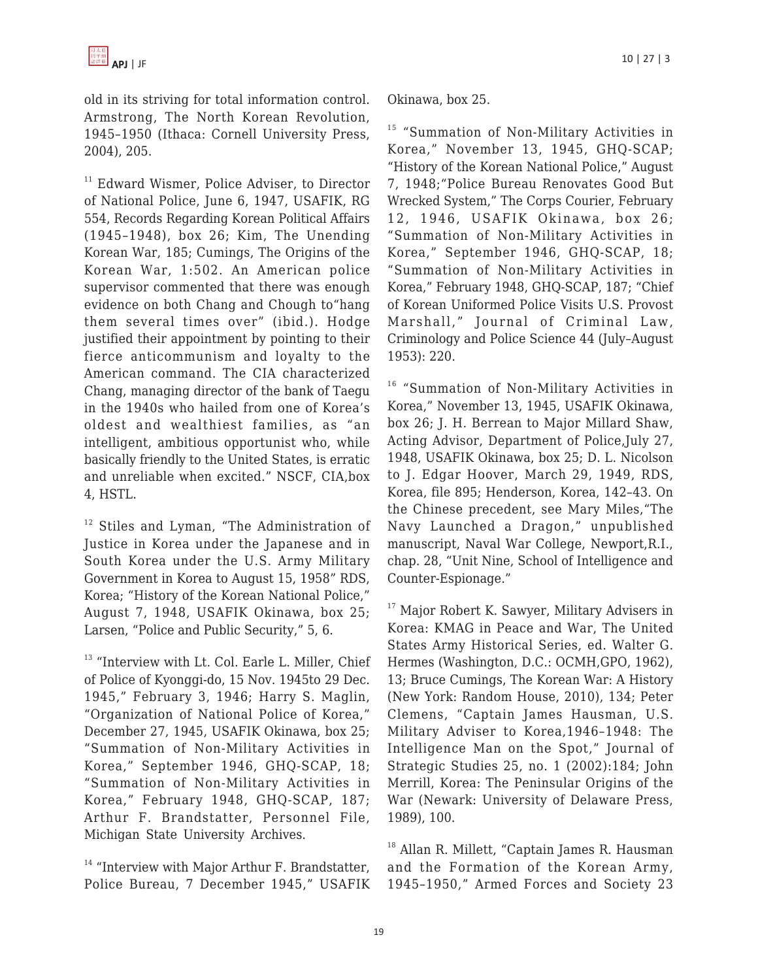old in its striving for total information control. Armstrong, The North Korean Revolution, 1945–1950 (Ithaca: Cornell University Press, 2004), 205.

<sup>11</sup> Edward Wismer, Police Adviser, to Director of National Police, June 6, 1947, USAFIK, RG 554, Records Regarding Korean Political Affairs (1945–1948), box 26; Kim, The Unending Korean War, 185; Cumings, The Origins of the Korean War, 1:502. An American police supervisor commented that there was enough evidence on both Chang and Chough to"hang them several times over" (ibid.). Hodge justified their appointment by pointing to their fierce anticommunism and loyalty to the American command. The CIA characterized Chang, managing director of the bank of Taegu in the 1940s who hailed from one of Korea's oldest and wealthiest families, as "an intelligent, ambitious opportunist who, while basically friendly to the United States, is erratic and unreliable when excited." NSCF, CIA,box 4, HSTL.

<sup>12</sup> Stiles and Lyman, "The Administration of Justice in Korea under the Japanese and in South Korea under the U.S. Army Military Government in Korea to August 15, 1958" RDS, Korea; "History of the Korean National Police," August 7, 1948, USAFIK Okinawa, box 25; Larsen, "Police and Public Security," 5, 6.

<sup>13</sup> "Interview with Lt. Col. Earle L. Miller, Chief of Police of Kyonggi-do, 15 Nov. 1945to 29 Dec. 1945," February 3, 1946; Harry S. Maglin, "Organization of National Police of Korea," December 27, 1945, USAFIK Okinawa, box 25; "Summation of Non-Military Activities in Korea," September 1946, GHQ-SCAP, 18; "Summation of Non-Military Activities in Korea," February 1948, GHQ-SCAP, 187; Arthur F. Brandstatter, Personnel File, Michigan State University Archives.

 $14$  "Interview with Major Arthur F. Brandstatter, Police Bureau, 7 December 1945," USAFIK Okinawa, box 25.

<sup>15</sup> "Summation of Non-Military Activities in Korea," November 13, 1945, GHQ-SCAP; "History of the Korean National Police," August 7, 1948;"Police Bureau Renovates Good But Wrecked System," The Corps Courier, February 12, 1946, USAFIK Okinawa, box 26; "Summation of Non-Military Activities in Korea," September 1946, GHQ-SCAP, 18; "Summation of Non-Military Activities in Korea," February 1948, GHQ-SCAP, 187; "Chief of Korean Uniformed Police Visits U.S. Provost Marshall," Journal of Criminal Law, Criminology and Police Science 44 (July–August 1953): 220.

<sup>16</sup> "Summation of Non-Military Activities in Korea," November 13, 1945, USAFIK Okinawa, box 26; J. H. Berrean to Major Millard Shaw, Acting Advisor, Department of Police,July 27, 1948, USAFIK Okinawa, box 25; D. L. Nicolson to J. Edgar Hoover, March 29, 1949, RDS, Korea, file 895; Henderson, Korea, 142–43. On the Chinese precedent, see Mary Miles,"The Navy Launched a Dragon," unpublished manuscript, Naval War College, Newport,R.I., chap. 28, "Unit Nine, School of Intelligence and Counter-Espionage."

<sup>17</sup> Major Robert K. Sawyer, Military Advisers in Korea: KMAG in Peace and War, The United States Army Historical Series, ed. Walter G. Hermes (Washington, D.C.: OCMH,GPO, 1962), 13; Bruce Cumings, The Korean War: A History (New York: Random House, 2010), 134; Peter Clemens, "Captain James Hausman, U.S. Military Adviser to Korea,1946–1948: The Intelligence Man on the Spot," Journal of Strategic Studies 25, no. 1 (2002):184; John Merrill, Korea: The Peninsular Origins of the War (Newark: University of Delaware Press, 1989), 100.

<sup>18</sup> Allan R. Millett, "Captain James R. Hausman and the Formation of the Korean Army, 1945–1950," Armed Forces and Society 23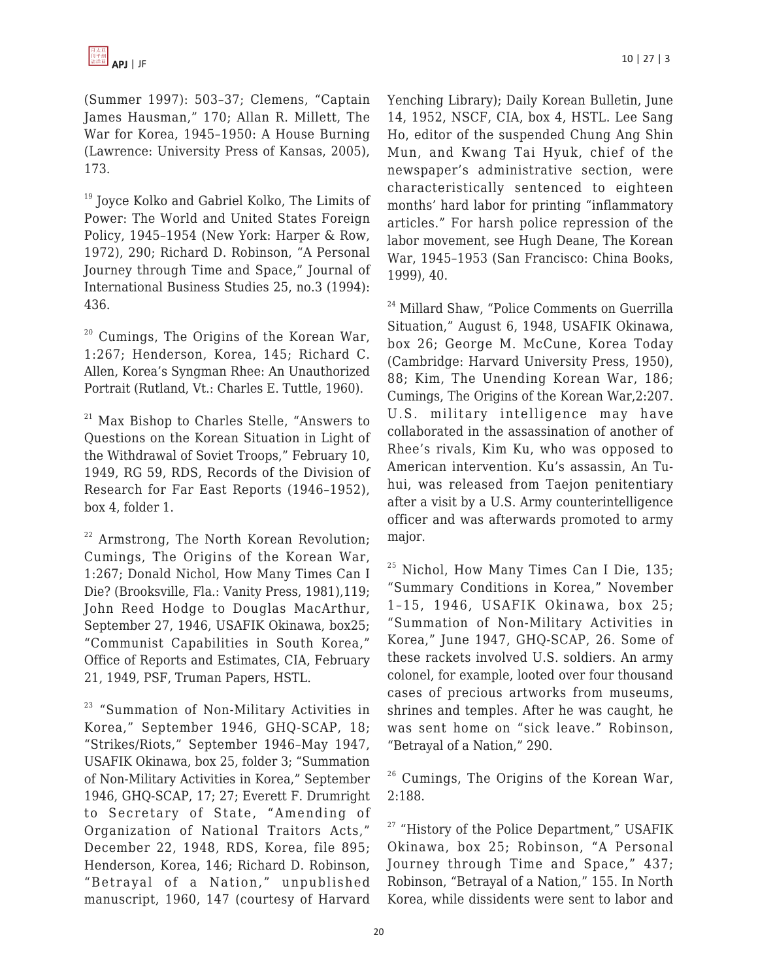(Summer 1997): 503–37; Clemens, "Captain James Hausman," 170; Allan R. Millett, The War for Korea, 1945–1950: A House Burning (Lawrence: University Press of Kansas, 2005), 173.

<sup>19</sup> Joyce Kolko and Gabriel Kolko, The Limits of Power: The World and United States Foreign Policy, 1945–1954 (New York: Harper & Row, 1972), 290; Richard D. Robinson, "A Personal Journey through Time and Space," Journal of International Business Studies 25, no.3 (1994): 436.

<sup>20</sup> Cumings, The Origins of the Korean War, 1:267; Henderson, Korea, 145; Richard C. Allen, Korea's Syngman Rhee: An Unauthorized Portrait (Rutland, Vt.: Charles E. Tuttle, 1960).

 $21$  Max Bishop to Charles Stelle, "Answers to Questions on the Korean Situation in Light of the Withdrawal of Soviet Troops," February 10, 1949, RG 59, RDS, Records of the Division of Research for Far East Reports (1946–1952), box 4, folder 1.

 $22$  Armstrong, The North Korean Revolution; Cumings, The Origins of the Korean War, 1:267; Donald Nichol, How Many Times Can I Die? (Brooksville, Fla.: Vanity Press, 1981),119; John Reed Hodge to Douglas MacArthur, September 27, 1946, USAFIK Okinawa, box25; "Communist Capabilities in South Korea," Office of Reports and Estimates, CIA, February 21, 1949, PSF, Truman Papers, HSTL.

<sup>23</sup> "Summation of Non-Military Activities in Korea," September 1946, GHQ-SCAP, 18; "Strikes/Riots," September 1946–May 1947, USAFIK Okinawa, box 25, folder 3; "Summation of Non-Military Activities in Korea," September 1946, GHQ-SCAP, 17; 27; Everett F. Drumright to Secretary of State, "Amending of Organization of National Traitors Acts," December 22, 1948, RDS, Korea, file 895; Henderson, Korea, 146; Richard D. Robinson, "Betrayal of a Nation," unpublished manuscript, 1960, 147 (courtesy of Harvard Yenching Library); Daily Korean Bulletin, June 14, 1952, NSCF, CIA, box 4, HSTL. Lee Sang Ho, editor of the suspended Chung Ang Shin Mun, and Kwang Tai Hyuk, chief of the newspaper's administrative section, were characteristically sentenced to eighteen months' hard labor for printing "inflammatory articles." For harsh police repression of the labor movement, see Hugh Deane, The Korean War, 1945–1953 (San Francisco: China Books, 1999), 40.

<sup>24</sup> Millard Shaw, "Police Comments on Guerrilla Situation," August 6, 1948, USAFIK Okinawa, box 26; George M. McCune, Korea Today (Cambridge: Harvard University Press, 1950), 88; Kim, The Unending Korean War, 186; Cumings, The Origins of the Korean War,2:207. U.S. military intelligence may have collaborated in the assassination of another of Rhee's rivals, Kim Ku, who was opposed to American intervention. Ku's assassin, An Tuhui, was released from Taejon penitentiary after a visit by a U.S. Army counterintelligence officer and was afterwards promoted to army major.

<sup>25</sup> Nichol, How Many Times Can I Die, 135; "Summary Conditions in Korea," November 1–15, 1946, USAFIK Okinawa, box 25; "Summation of Non-Military Activities in Korea," June 1947, GHQ-SCAP, 26. Some of these rackets involved U.S. soldiers. An army colonel, for example, looted over four thousand cases of precious artworks from museums, shrines and temples. After he was caught, he was sent home on "sick leave." Robinson, "Betrayal of a Nation," 290.

 $26$  Cumings, The Origins of the Korean War, 2:188.

<sup>27</sup> "History of the Police Department," USAFIK Okinawa, box 25; Robinson, "A Personal Journey through Time and Space," 437; Robinson, "Betrayal of a Nation," 155. In North Korea, while dissidents were sent to labor and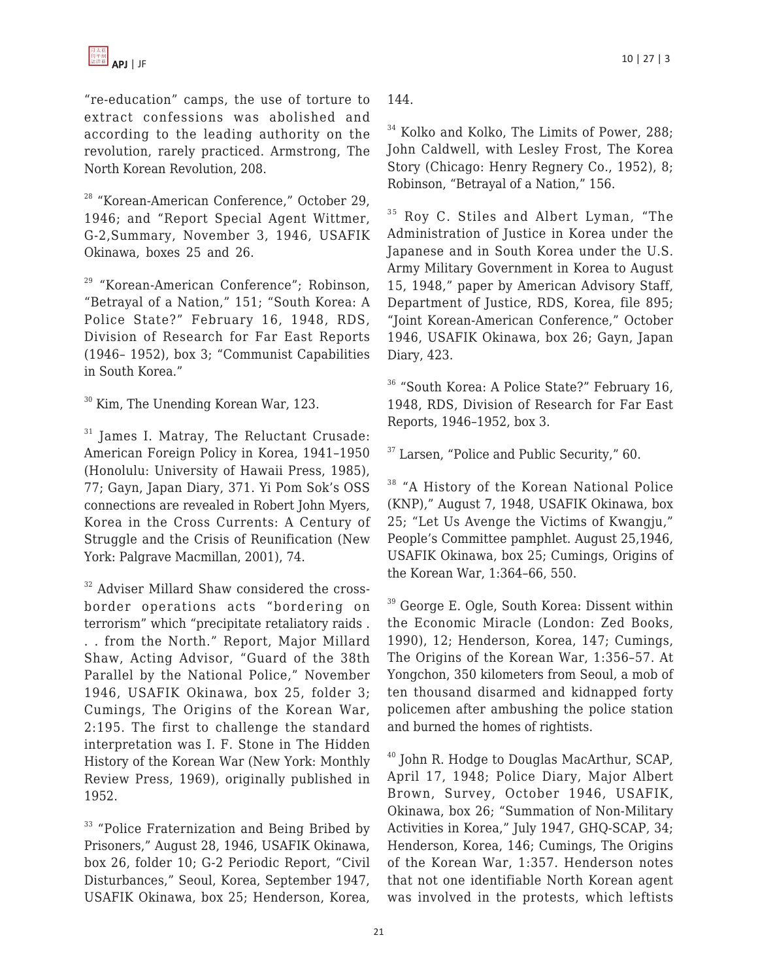

"re-education" camps, the use of torture to extract confessions was abolished and according to the leading authority on the revolution, rarely practiced. Armstrong, The North Korean Revolution, 208.

<sup>28</sup> "Korean-American Conference," October 29, 1946; and "Report Special Agent Wittmer, G-2,Summary, November 3, 1946, USAFIK Okinawa, boxes 25 and 26.

<sup>29</sup> "Korean-American Conference"; Robinson, "Betrayal of a Nation," 151; "South Korea: A Police State?" February 16, 1948, RDS, Division of Research for Far East Reports (1946– 1952), box 3; "Communist Capabilities in South Korea."

<sup>30</sup> Kim, The Unending Korean War, 123.

<sup>31</sup> James I. Matray, The Reluctant Crusade: American Foreign Policy in Korea, 1941–1950 (Honolulu: University of Hawaii Press, 1985), 77; Gayn, Japan Diary, 371. Yi Pom Sok's OSS connections are revealed in Robert John Myers, Korea in the Cross Currents: A Century of Struggle and the Crisis of Reunification (New York: Palgrave Macmillan, 2001), 74.

<sup>32</sup> Adviser Millard Shaw considered the crossborder operations acts "bordering on terrorism" which "precipitate retaliatory raids . . . from the North." Report, Major Millard Shaw, Acting Advisor, "Guard of the 38th Parallel by the National Police," November 1946, USAFIK Okinawa, box 25, folder 3; Cumings, The Origins of the Korean War, 2:195. The first to challenge the standard interpretation was I. F. Stone in The Hidden History of the Korean War (New York: Monthly Review Press, 1969), originally published in 1952.

<sup>33</sup> "Police Fraternization and Being Bribed by Prisoners," August 28, 1946, USAFIK Okinawa, box 26, folder 10; G-2 Periodic Report, "Civil Disturbances," Seoul, Korea, September 1947, USAFIK Okinawa, box 25; Henderson, Korea,

144.

 $\rm{^{34}}$  Kolko and Kolko, The Limits of Power, 288; John Caldwell, with Lesley Frost, The Korea Story (Chicago: Henry Regnery Co., 1952), 8; Robinson, "Betrayal of a Nation," 156.

<sup>35</sup> Roy C. Stiles and Albert Lyman, "The Administration of Justice in Korea under the Japanese and in South Korea under the U.S. Army Military Government in Korea to August 15, 1948," paper by American Advisory Staff, Department of Justice, RDS, Korea, file 895; "Joint Korean-American Conference," October 1946, USAFIK Okinawa, box 26; Gayn, Japan Diary, 423.

<sup>36</sup> "South Korea: A Police State?" February 16, 1948, RDS, Division of Research for Far East Reports, 1946–1952, box 3.

 $37$  Larsen, "Police and Public Security," 60.

<sup>38</sup> "A History of the Korean National Police (KNP)," August 7, 1948, USAFIK Okinawa, box 25; "Let Us Avenge the Victims of Kwangju," People's Committee pamphlet. August 25,1946, USAFIK Okinawa, box 25; Cumings, Origins of the Korean War, 1:364–66, 550.

<sup>39</sup> George E. Ogle, South Korea: Dissent within the Economic Miracle (London: Zed Books, 1990), 12; Henderson, Korea, 147; Cumings, The Origins of the Korean War, 1:356–57. At Yongchon, 350 kilometers from Seoul, a mob of ten thousand disarmed and kidnapped forty policemen after ambushing the police station and burned the homes of rightists.

<sup>40</sup> John R. Hodge to Douglas MacArthur, SCAP, April 17, 1948; Police Diary, Major Albert Brown, Survey, October 1946, USAFIK, Okinawa, box 26; "Summation of Non-Military Activities in Korea," July 1947, GHQ-SCAP, 34; Henderson, Korea, 146; Cumings, The Origins of the Korean War, 1:357. Henderson notes that not one identifiable North Korean agent was involved in the protests, which leftists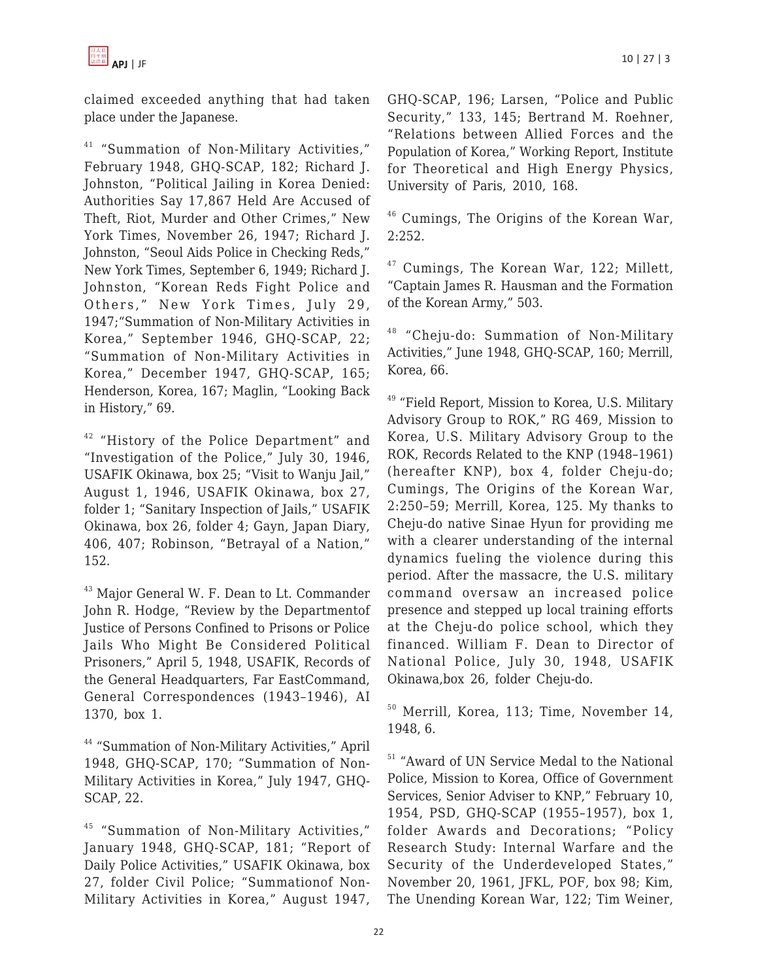claimed exceeded anything that had taken place under the Japanese.

<sup>41</sup> "Summation of Non-Military Activities," February 1948, GHQ-SCAP, 182; Richard J. Johnston, "Political Jailing in Korea Denied: Authorities Say 17,867 Held Are Accused of Theft, Riot, Murder and Other Crimes," New York Times, November 26, 1947; Richard J. Johnston, "Seoul Aids Police in Checking Reds," New York Times, September 6, 1949; Richard J. Johnston, "Korean Reds Fight Police and Others," New York Times, July 29, 1947;"Summation of Non-Military Activities in Korea," September 1946, GHQ-SCAP, 22; "Summation of Non-Military Activities in Korea," December 1947, GHQ-SCAP, 165; Henderson, Korea, 167; Maglin, "Looking Back in History," 69.

<sup>42</sup> "History of the Police Department" and "Investigation of the Police," July 30, 1946, USAFIK Okinawa, box 25; "Visit to Wanju Jail," August 1, 1946, USAFIK Okinawa, box 27, folder 1; "Sanitary Inspection of Jails," USAFIK Okinawa, box 26, folder 4; Gayn, Japan Diary, 406, 407; Robinson, "Betrayal of a Nation," 152.

<sup>43</sup> Major General W. F. Dean to Lt. Commander John R. Hodge, "Review by the Departmentof Justice of Persons Confined to Prisons or Police Jails Who Might Be Considered Political Prisoners," April 5, 1948, USAFIK, Records of the General Headquarters, Far EastCommand, General Correspondences (1943–1946), AI 1370, box 1.

<sup>44</sup> "Summation of Non-Military Activities," April 1948, GHQ-SCAP, 170; "Summation of Non-Military Activities in Korea," July 1947, GHQ-SCAP, 22.

<sup>45</sup> "Summation of Non-Military Activities," January 1948, GHQ-SCAP, 181; "Report of Daily Police Activities," USAFIK Okinawa, box 27, folder Civil Police; "Summationof Non-Military Activities in Korea," August 1947, GHQ-SCAP, 196; Larsen, "Police and Public Security," 133, 145; Bertrand M. Roehner, "Relations between Allied Forces and the Population of Korea," Working Report, Institute for Theoretical and High Energy Physics,

<sup>46</sup> Cumings, The Origins of the Korean War, 2:252.

University of Paris, 2010, 168.

<sup>47</sup> Cumings, The Korean War, 122; Millett, "Captain James R. Hausman and the Formation of the Korean Army," 503.

<sup>48</sup> "Cheju-do: Summation of Non-Military Activities," June 1948, GHQ-SCAP, 160; Merrill, Korea, 66.

<sup>49</sup> "Field Report, Mission to Korea, U.S. Military Advisory Group to ROK," RG 469, Mission to Korea, U.S. Military Advisory Group to the ROK, Records Related to the KNP (1948–1961) (hereafter KNP), box 4, folder Cheju-do; Cumings, The Origins of the Korean War, 2:250–59; Merrill, Korea, 125. My thanks to Cheju-do native Sinae Hyun for providing me with a clearer understanding of the internal dynamics fueling the violence during this period. After the massacre, the U.S. military command oversaw an increased police presence and stepped up local training efforts at the Cheju-do police school, which they financed. William F. Dean to Director of National Police, July 30, 1948, USAFIK Okinawa,box 26, folder Cheju-do.

<sup>50</sup> Merrill, Korea, 113; Time, November 14, 1948, 6.

<sup>51</sup> "Award of UN Service Medal to the National Police, Mission to Korea, Office of Government Services, Senior Adviser to KNP," February 10, 1954, PSD, GHQ-SCAP (1955–1957), box 1, folder Awards and Decorations; "Policy Research Study: Internal Warfare and the Security of the Underdeveloped States," November 20, 1961, JFKL, POF, box 98; Kim, The Unending Korean War, 122; Tim Weiner,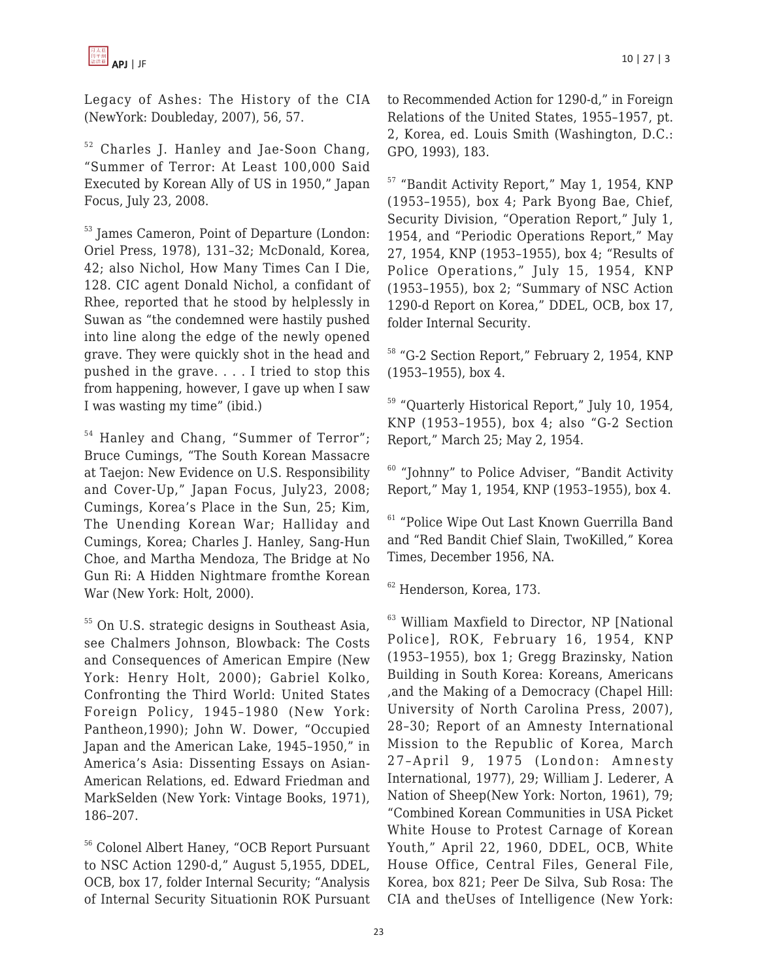Legacy of Ashes: The History of the CIA (NewYork: Doubleday, 2007), 56, 57.

<sup>52</sup> Charles J. Hanley and Jae-Soon Chang, "Summer of Terror: At Least 100,000 Said Executed by Korean Ally of US in 1950," Japan Focus, July 23, 2008.

<sup>53</sup> James Cameron, Point of Departure (London: Oriel Press, 1978), 131–32; McDonald, Korea, 42; also Nichol, How Many Times Can I Die, 128. CIC agent Donald Nichol, a confidant of Rhee, reported that he stood by helplessly in Suwan as "the condemned were hastily pushed into line along the edge of the newly opened grave. They were quickly shot in the head and pushed in the grave. . . . I tried to stop this from happening, however, I gave up when I saw I was wasting my time" (ibid.)

<sup>54</sup> Hanley and Chang, "Summer of Terror"; Bruce Cumings, "The South Korean Massacre at Taejon: New Evidence on U.S. Responsibility and Cover-Up," Japan Focus, July23, 2008; Cumings, Korea's Place in the Sun, 25; Kim, The Unending Korean War; Halliday and Cumings, Korea; Charles J. Hanley, Sang-Hun Choe, and Martha Mendoza, The Bridge at No Gun Ri: A Hidden Nightmare fromthe Korean War (New York: Holt, 2000).

<sup>55</sup> On U.S. strategic designs in Southeast Asia, see Chalmers Johnson, Blowback: The Costs and Consequences of American Empire (New York: Henry Holt, 2000); Gabriel Kolko, Confronting the Third World: United States Foreign Policy, 1945–1980 (New York: Pantheon,1990); John W. Dower, "Occupied Japan and the American Lake, 1945–1950," in America's Asia: Dissenting Essays on Asian-American Relations, ed. Edward Friedman and MarkSelden (New York: Vintage Books, 1971), 186–207.

<sup>56</sup> Colonel Albert Haney, "OCB Report Pursuant to NSC Action 1290-d," August 5,1955, DDEL, OCB, box 17, folder Internal Security; "Analysis of Internal Security Situationin ROK Pursuant to Recommended Action for 1290-d," in Foreign Relations of the United States, 1955–1957, pt. 2, Korea, ed. Louis Smith (Washington, D.C.: GPO, 1993), 183.

<sup>57</sup> "Bandit Activity Report," May 1, 1954, KNP (1953–1955), box 4; Park Byong Bae, Chief, Security Division, "Operation Report," July 1, 1954, and "Periodic Operations Report," May 27, 1954, KNP (1953–1955), box 4; "Results of Police Operations," July 15, 1954, KNP (1953–1955), box 2; "Summary of NSC Action 1290-d Report on Korea," DDEL, OCB, box 17, folder Internal Security.

<sup>58</sup> "G-2 Section Report," February 2, 1954, KNP (1953–1955), box 4.

<sup>59</sup> "Quarterly Historical Report," July 10, 1954, KNP (1953–1955), box 4; also "G-2 Section Report," March 25; May 2, 1954.

<sup>60</sup> "Johnny" to Police Adviser, "Bandit Activity Report," May 1, 1954, KNP (1953–1955), box 4.

<sup>61</sup> "Police Wipe Out Last Known Guerrilla Band and "Red Bandit Chief Slain, TwoKilled," Korea Times, December 1956, NA.

<sup>62</sup> Henderson, Korea, 173.

<sup>63</sup> William Maxfield to Director, NP [National Police], ROK, February 16, 1954, KNP (1953–1955), box 1; Gregg Brazinsky, Nation Building in South Korea: Koreans, Americans ,and the Making of a Democracy (Chapel Hill: University of North Carolina Press, 2007), 28–30; Report of an Amnesty International Mission to the Republic of Korea, March 27–April 9, 1975 (London: Amnesty International, 1977), 29; William J. Lederer, A Nation of Sheep(New York: Norton, 1961), 79; "Combined Korean Communities in USA Picket White House to Protest Carnage of Korean Youth," April 22, 1960, DDEL, OCB, White House Office, Central Files, General File, Korea, box 821; Peer De Silva, Sub Rosa: The CIA and theUses of Intelligence (New York: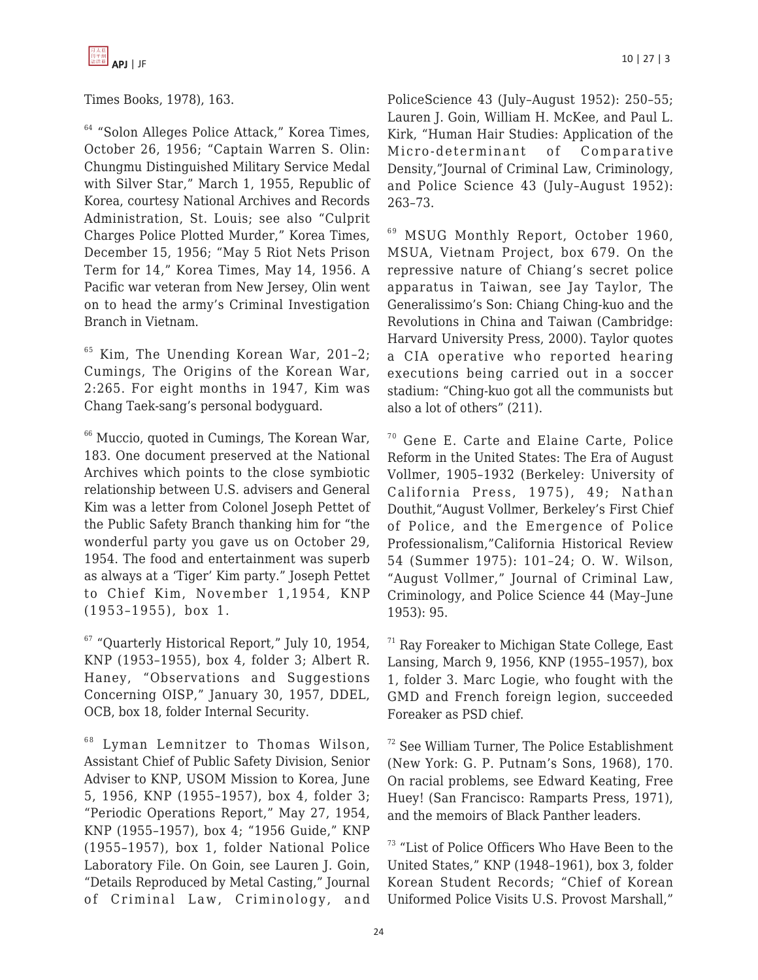

Times Books, 1978), 163.

<sup>64</sup> "Solon Alleges Police Attack," Korea Times, October 26, 1956; "Captain Warren S. Olin: Chungmu Distinguished Military Service Medal with Silver Star," March 1, 1955, Republic of Korea, courtesy National Archives and Records Administration, St. Louis; see also "Culprit Charges Police Plotted Murder," Korea Times, December 15, 1956; "May 5 Riot Nets Prison Term for 14," Korea Times, May 14, 1956. A Pacific war veteran from New Jersey, Olin went on to head the army's Criminal Investigation Branch in Vietnam.

<sup>65</sup> Kim, The Unending Korean War, 201–2; Cumings, The Origins of the Korean War, 2:265. For eight months in 1947, Kim was Chang Taek-sang's personal bodyguard.

<sup>66</sup> Muccio, quoted in Cumings, The Korean War, 183. One document preserved at the National Archives which points to the close symbiotic relationship between U.S. advisers and General Kim was a letter from Colonel Joseph Pettet of the Public Safety Branch thanking him for "the wonderful party you gave us on October 29, 1954. The food and entertainment was superb as always at a 'Tiger' Kim party." Joseph Pettet to Chief Kim, November 1,1954, KNP (1953–1955), box 1.

 $67$  "Quarterly Historical Report," July 10, 1954, KNP (1953–1955), box 4, folder 3; Albert R. Haney, "Observations and Suggestions Concerning OISP," January 30, 1957, DDEL, OCB, box 18, folder Internal Security.

 $68$  Lyman Lemnitzer to Thomas Wilson, Assistant Chief of Public Safety Division, Senior Adviser to KNP, USOM Mission to Korea, June 5, 1956, KNP (1955–1957), box 4, folder 3; "Periodic Operations Report," May 27, 1954, KNP (1955–1957), box 4; "1956 Guide," KNP (1955–1957), box 1, folder National Police Laboratory File. On Goin, see Lauren J. Goin, "Details Reproduced by Metal Casting," Journal of Criminal Law, Criminology, and PoliceScience 43 (July–August 1952): 250–55; Lauren J. Goin, William H. McKee, and Paul L. Kirk, "Human Hair Studies: Application of the Micro-determinant of Comparative Density,"Journal of Criminal Law, Criminology, and Police Science 43 (July–August 1952): 263–73.

<sup>69</sup> MSUG Monthly Report, October 1960, MSUA, Vietnam Project, box 679. On the repressive nature of Chiang's secret police apparatus in Taiwan, see Jay Taylor, The Generalissimo's Son: Chiang Ching-kuo and the Revolutions in China and Taiwan (Cambridge: Harvard University Press, 2000). Taylor quotes a CIA operative who reported hearing executions being carried out in a soccer stadium: "Ching-kuo got all the communists but also a lot of others" (211).

<sup>70</sup> Gene E. Carte and Elaine Carte, Police Reform in the United States: The Era of August Vollmer, 1905–1932 (Berkeley: University of California Press, 1975), 49; Nathan Douthit,"August Vollmer, Berkeley's First Chief of Police, and the Emergence of Police Professionalism,"California Historical Review 54 (Summer 1975): 101–24; O. W. Wilson, "August Vollmer," Journal of Criminal Law, Criminology, and Police Science 44 (May–June 1953): 95.

 $71$  Ray Foreaker to Michigan State College, East Lansing, March 9, 1956, KNP (1955–1957), box 1, folder 3. Marc Logie, who fought with the GMD and French foreign legion, succeeded Foreaker as PSD chief.

 $72$  See William Turner, The Police Establishment (New York: G. P. Putnam's Sons, 1968), 170. On racial problems, see Edward Keating, Free Huey! (San Francisco: Ramparts Press, 1971), and the memoirs of Black Panther leaders.

<sup>73</sup> "List of Police Officers Who Have Been to the United States," KNP (1948–1961), box 3, folder Korean Student Records; "Chief of Korean Uniformed Police Visits U.S. Provost Marshall,"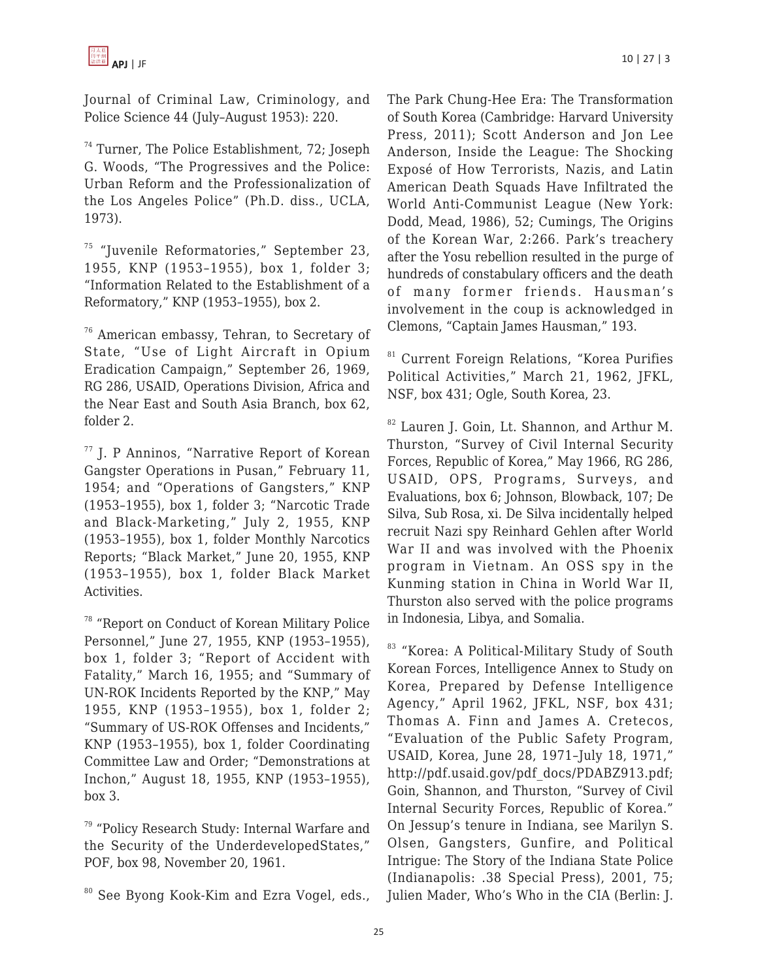Journal of Criminal Law, Criminology, and Police Science 44 (July–August 1953): 220.

<sup>74</sup> Turner, The Police Establishment, 72; Joseph G. Woods, "The Progressives and the Police: Urban Reform and the Professionalization of the Los Angeles Police" (Ph.D. diss., UCLA, 1973).

 $75$  "Juvenile Reformatories," September 23, 1955, KNP (1953–1955), box 1, folder 3; "Information Related to the Establishment of a Reformatory," KNP (1953–1955), box 2.

<sup>76</sup> American embassy, Tehran, to Secretary of State, "Use of Light Aircraft in Opium Eradication Campaign," September 26, 1969, RG 286, USAID, Operations Division, Africa and the Near East and South Asia Branch, box 62, folder 2.

<sup>77</sup> J. P Anninos, "Narrative Report of Korean Gangster Operations in Pusan," February 11, 1954; and "Operations of Gangsters," KNP (1953–1955), box 1, folder 3; "Narcotic Trade and Black-Marketing," July 2, 1955, KNP (1953–1955), box 1, folder Monthly Narcotics Reports; "Black Market," June 20, 1955, KNP (1953–1955), box 1, folder Black Market Activities.

<sup>78</sup> "Report on Conduct of Korean Military Police Personnel," June 27, 1955, KNP (1953–1955), box 1, folder 3; "Report of Accident with Fatality," March 16, 1955; and "Summary of UN-ROK Incidents Reported by the KNP," May 1955, KNP (1953–1955), box 1, folder 2; "Summary of US-ROK Offenses and Incidents," KNP (1953–1955), box 1, folder Coordinating Committee Law and Order; "Demonstrations at Inchon," August 18, 1955, KNP (1953–1955), box 3.

<sup>79</sup> "Policy Research Study: Internal Warfare and the Security of the UnderdevelopedStates," POF, box 98, November 20, 1961.

The Park Chung-Hee Era: The Transformation of South Korea (Cambridge: Harvard University Press, 2011); Scott Anderson and Jon Lee Anderson, Inside the League: The Shocking Exposé of How Terrorists, Nazis, and Latin American Death Squads Have Infiltrated the World Anti-Communist League (New York: Dodd, Mead, 1986), 52; Cumings, The Origins of the Korean War, 2:266. Park's treachery after the Yosu rebellion resulted in the purge of hundreds of constabulary officers and the death of many former friends. Hausman's involvement in the coup is acknowledged in Clemons, "Captain James Hausman," 193.

<sup>81</sup> Current Foreign Relations, "Korea Purifies Political Activities," March 21, 1962, JFKL, NSF, box 431; Ogle, South Korea, 23.

<sup>82</sup> Lauren J. Goin, Lt. Shannon, and Arthur M. Thurston, "Survey of Civil Internal Security Forces, Republic of Korea," May 1966, RG 286, USAID, OPS, Programs, Surveys, and Evaluations, box 6; Johnson, Blowback, 107; De Silva, Sub Rosa, xi. De Silva incidentally helped recruit Nazi spy Reinhard Gehlen after World War II and was involved with the Phoenix program in Vietnam. An OSS spy in the Kunming station in China in World War II, Thurston also served with the police programs in Indonesia, Libya, and Somalia.

83 "Korea: A Political-Military Study of South Korean Forces, Intelligence Annex to Study on Korea, Prepared by Defense Intelligence Agency," April 1962, JFKL, NSF, box 431; Thomas A. Finn and James A. Cretecos, "Evaluation of the Public Safety Program, USAID, Korea, June 28, 1971–July 18, 1971," http://pdf.usaid.gov/pdf\_docs/PDABZ913.pdf; Goin, Shannon, and Thurston, "Survey of Civil Internal Security Forces, Republic of Korea." On Jessup's tenure in Indiana, see Marilyn S. Olsen, Gangsters, Gunfire, and Political Intrigue: The Story of the Indiana State Police (Indianapolis: .38 Special Press), 2001, 75; Julien Mader, Who's Who in the CIA (Berlin: J.

<sup>&</sup>lt;sup>80</sup> See Byong Kook-Kim and Ezra Vogel, eds.,